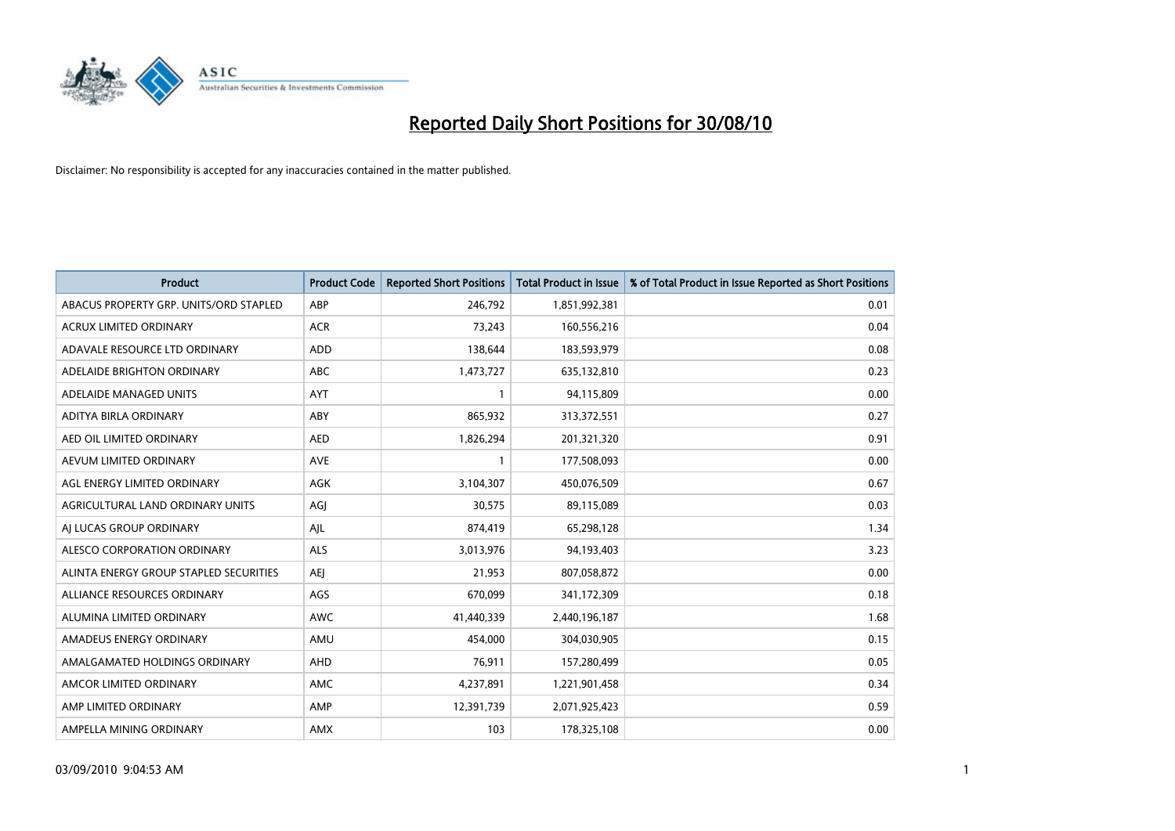

| <b>Product</b>                         | <b>Product Code</b> | <b>Reported Short Positions</b> | Total Product in Issue | % of Total Product in Issue Reported as Short Positions |
|----------------------------------------|---------------------|---------------------------------|------------------------|---------------------------------------------------------|
| ABACUS PROPERTY GRP. UNITS/ORD STAPLED | ABP                 | 246,792                         | 1,851,992,381          | 0.01                                                    |
| ACRUX LIMITED ORDINARY                 | <b>ACR</b>          | 73,243                          | 160,556,216            | 0.04                                                    |
| ADAVALE RESOURCE LTD ORDINARY          | <b>ADD</b>          | 138,644                         | 183,593,979            | 0.08                                                    |
| ADELAIDE BRIGHTON ORDINARY             | <b>ABC</b>          | 1,473,727                       | 635,132,810            | 0.23                                                    |
| ADELAIDE MANAGED UNITS                 | <b>AYT</b>          |                                 | 94,115,809             | 0.00                                                    |
| ADITYA BIRLA ORDINARY                  | ABY                 | 865,932                         | 313,372,551            | 0.27                                                    |
| AED OIL LIMITED ORDINARY               | <b>AED</b>          | 1,826,294                       | 201,321,320            | 0.91                                                    |
| AEVUM LIMITED ORDINARY                 | <b>AVE</b>          |                                 | 177,508,093            | 0.00                                                    |
| AGL ENERGY LIMITED ORDINARY            | AGK                 | 3,104,307                       | 450,076,509            | 0.67                                                    |
| AGRICULTURAL LAND ORDINARY UNITS       | AGJ                 | 30,575                          | 89,115,089             | 0.03                                                    |
| AJ LUCAS GROUP ORDINARY                | AJL                 | 874,419                         | 65,298,128             | 1.34                                                    |
| ALESCO CORPORATION ORDINARY            | <b>ALS</b>          | 3,013,976                       | 94,193,403             | 3.23                                                    |
| ALINTA ENERGY GROUP STAPLED SECURITIES | AEJ                 | 21,953                          | 807,058,872            | 0.00                                                    |
| ALLIANCE RESOURCES ORDINARY            | AGS                 | 670,099                         | 341,172,309            | 0.18                                                    |
| ALUMINA LIMITED ORDINARY               | <b>AWC</b>          | 41,440,339                      | 2,440,196,187          | 1.68                                                    |
| AMADEUS ENERGY ORDINARY                | AMU                 | 454,000                         | 304,030,905            | 0.15                                                    |
| AMALGAMATED HOLDINGS ORDINARY          | AHD                 | 76,911                          | 157,280,499            | 0.05                                                    |
| AMCOR LIMITED ORDINARY                 | <b>AMC</b>          | 4,237,891                       | 1,221,901,458          | 0.34                                                    |
| AMP LIMITED ORDINARY                   | AMP                 | 12,391,739                      | 2,071,925,423          | 0.59                                                    |
| AMPELLA MINING ORDINARY                | <b>AMX</b>          | 103                             | 178,325,108            | 0.00                                                    |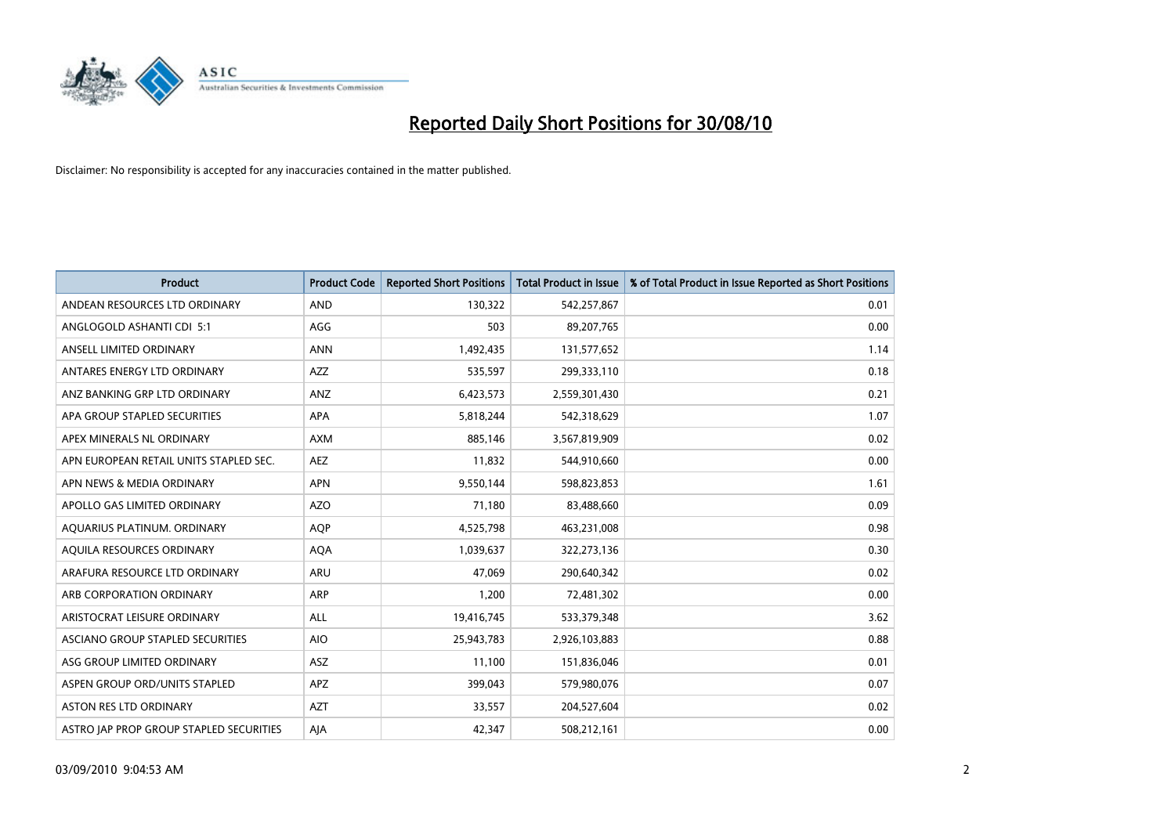

| <b>Product</b>                          | <b>Product Code</b> | <b>Reported Short Positions</b> | Total Product in Issue | % of Total Product in Issue Reported as Short Positions |
|-----------------------------------------|---------------------|---------------------------------|------------------------|---------------------------------------------------------|
| ANDEAN RESOURCES LTD ORDINARY           | <b>AND</b>          | 130,322                         | 542,257,867            | 0.01                                                    |
| ANGLOGOLD ASHANTI CDI 5:1               | AGG                 | 503                             | 89,207,765             | 0.00                                                    |
| ANSELL LIMITED ORDINARY                 | <b>ANN</b>          | 1,492,435                       | 131,577,652            | 1.14                                                    |
| ANTARES ENERGY LTD ORDINARY             | <b>AZZ</b>          | 535,597                         | 299,333,110            | 0.18                                                    |
| ANZ BANKING GRP LTD ORDINARY            | ANZ                 | 6,423,573                       | 2,559,301,430          | 0.21                                                    |
| APA GROUP STAPLED SECURITIES            | <b>APA</b>          | 5,818,244                       | 542,318,629            | 1.07                                                    |
| APEX MINERALS NL ORDINARY               | <b>AXM</b>          | 885,146                         | 3,567,819,909          | 0.02                                                    |
| APN EUROPEAN RETAIL UNITS STAPLED SEC.  | <b>AEZ</b>          | 11,832                          | 544,910,660            | 0.00                                                    |
| APN NEWS & MEDIA ORDINARY               | <b>APN</b>          | 9,550,144                       | 598,823,853            | 1.61                                                    |
| APOLLO GAS LIMITED ORDINARY             | <b>AZO</b>          | 71,180                          | 83,488,660             | 0.09                                                    |
| AQUARIUS PLATINUM. ORDINARY             | <b>AOP</b>          | 4,525,798                       | 463,231,008            | 0.98                                                    |
| AQUILA RESOURCES ORDINARY               | <b>AQA</b>          | 1,039,637                       | 322,273,136            | 0.30                                                    |
| ARAFURA RESOURCE LTD ORDINARY           | <b>ARU</b>          | 47,069                          | 290,640,342            | 0.02                                                    |
| ARB CORPORATION ORDINARY                | ARP                 | 1,200                           | 72,481,302             | 0.00                                                    |
| ARISTOCRAT LEISURE ORDINARY             | <b>ALL</b>          | 19,416,745                      | 533,379,348            | 3.62                                                    |
| ASCIANO GROUP STAPLED SECURITIES        | <b>AIO</b>          | 25,943,783                      | 2,926,103,883          | 0.88                                                    |
| ASG GROUP LIMITED ORDINARY              | ASZ                 | 11,100                          | 151,836,046            | 0.01                                                    |
| ASPEN GROUP ORD/UNITS STAPLED           | <b>APZ</b>          | 399,043                         | 579,980,076            | 0.07                                                    |
| ASTON RES LTD ORDINARY                  | <b>AZT</b>          | 33,557                          | 204,527,604            | 0.02                                                    |
| ASTRO JAP PROP GROUP STAPLED SECURITIES | AJA                 | 42,347                          | 508,212,161            | 0.00                                                    |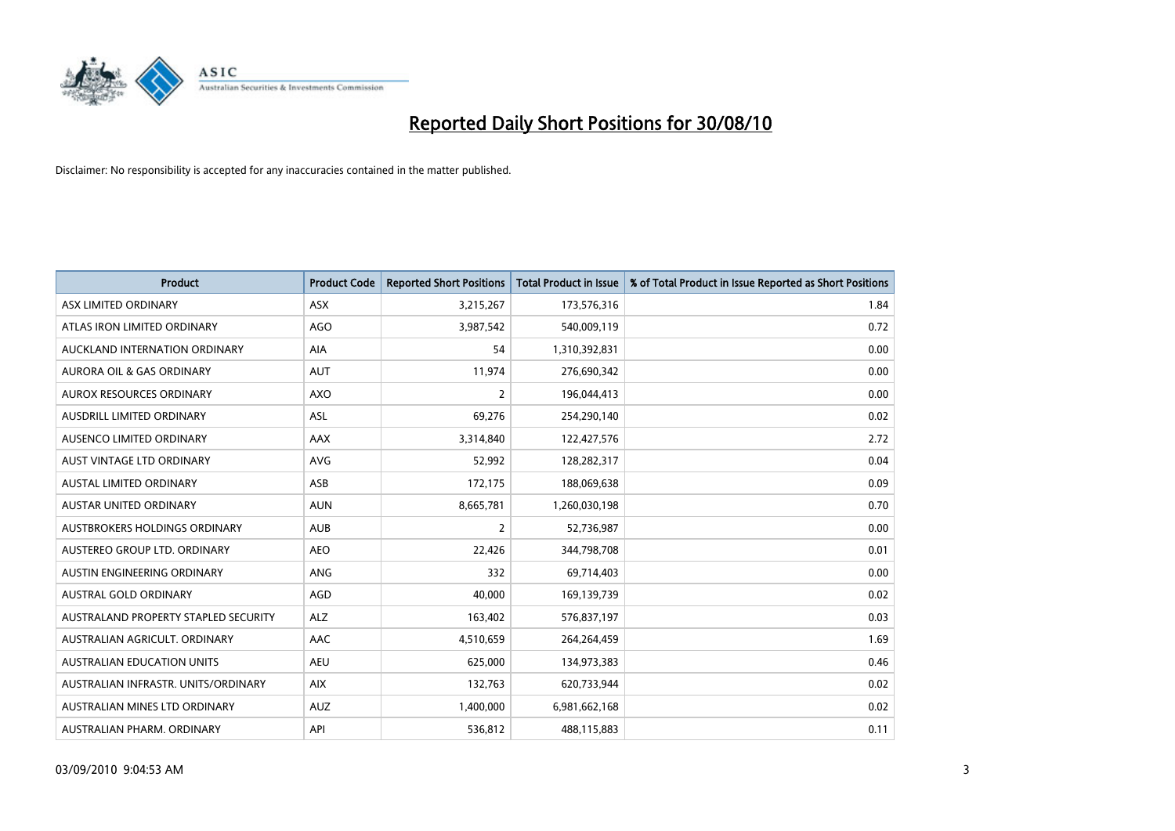

| <b>Product</b>                       | <b>Product Code</b> | <b>Reported Short Positions</b> | <b>Total Product in Issue</b> | % of Total Product in Issue Reported as Short Positions |
|--------------------------------------|---------------------|---------------------------------|-------------------------------|---------------------------------------------------------|
| ASX LIMITED ORDINARY                 | ASX                 | 3,215,267                       | 173,576,316                   | 1.84                                                    |
| ATLAS IRON LIMITED ORDINARY          | AGO                 | 3,987,542                       | 540,009,119                   | 0.72                                                    |
| AUCKLAND INTERNATION ORDINARY        | AIA                 | 54                              | 1,310,392,831                 | 0.00                                                    |
| AURORA OIL & GAS ORDINARY            | <b>AUT</b>          | 11,974                          | 276,690,342                   | 0.00                                                    |
| <b>AUROX RESOURCES ORDINARY</b>      | <b>AXO</b>          | $\overline{2}$                  | 196,044,413                   | 0.00                                                    |
| AUSDRILL LIMITED ORDINARY            | <b>ASL</b>          | 69,276                          | 254,290,140                   | 0.02                                                    |
| AUSENCO LIMITED ORDINARY             | <b>AAX</b>          | 3,314,840                       | 122,427,576                   | 2.72                                                    |
| AUST VINTAGE LTD ORDINARY            | <b>AVG</b>          | 52,992                          | 128,282,317                   | 0.04                                                    |
| AUSTAL LIMITED ORDINARY              | ASB                 | 172,175                         | 188,069,638                   | 0.09                                                    |
| <b>AUSTAR UNITED ORDINARY</b>        | <b>AUN</b>          | 8,665,781                       | 1,260,030,198                 | 0.70                                                    |
| AUSTBROKERS HOLDINGS ORDINARY        | <b>AUB</b>          | $\overline{2}$                  | 52,736,987                    | 0.00                                                    |
| AUSTEREO GROUP LTD. ORDINARY         | <b>AEO</b>          | 22,426                          | 344,798,708                   | 0.01                                                    |
| AUSTIN ENGINEERING ORDINARY          | <b>ANG</b>          | 332                             | 69,714,403                    | 0.00                                                    |
| <b>AUSTRAL GOLD ORDINARY</b>         | AGD                 | 40.000                          | 169,139,739                   | 0.02                                                    |
| AUSTRALAND PROPERTY STAPLED SECURITY | <b>ALZ</b>          | 163,402                         | 576,837,197                   | 0.03                                                    |
| AUSTRALIAN AGRICULT, ORDINARY        | <b>AAC</b>          | 4,510,659                       | 264,264,459                   | 1.69                                                    |
| <b>AUSTRALIAN EDUCATION UNITS</b>    | <b>AEU</b>          | 625,000                         | 134,973,383                   | 0.46                                                    |
| AUSTRALIAN INFRASTR. UNITS/ORDINARY  | <b>AIX</b>          | 132,763                         | 620,733,944                   | 0.02                                                    |
| AUSTRALIAN MINES LTD ORDINARY        | <b>AUZ</b>          | 1,400,000                       | 6,981,662,168                 | 0.02                                                    |
| AUSTRALIAN PHARM. ORDINARY           | API                 | 536,812                         | 488,115,883                   | 0.11                                                    |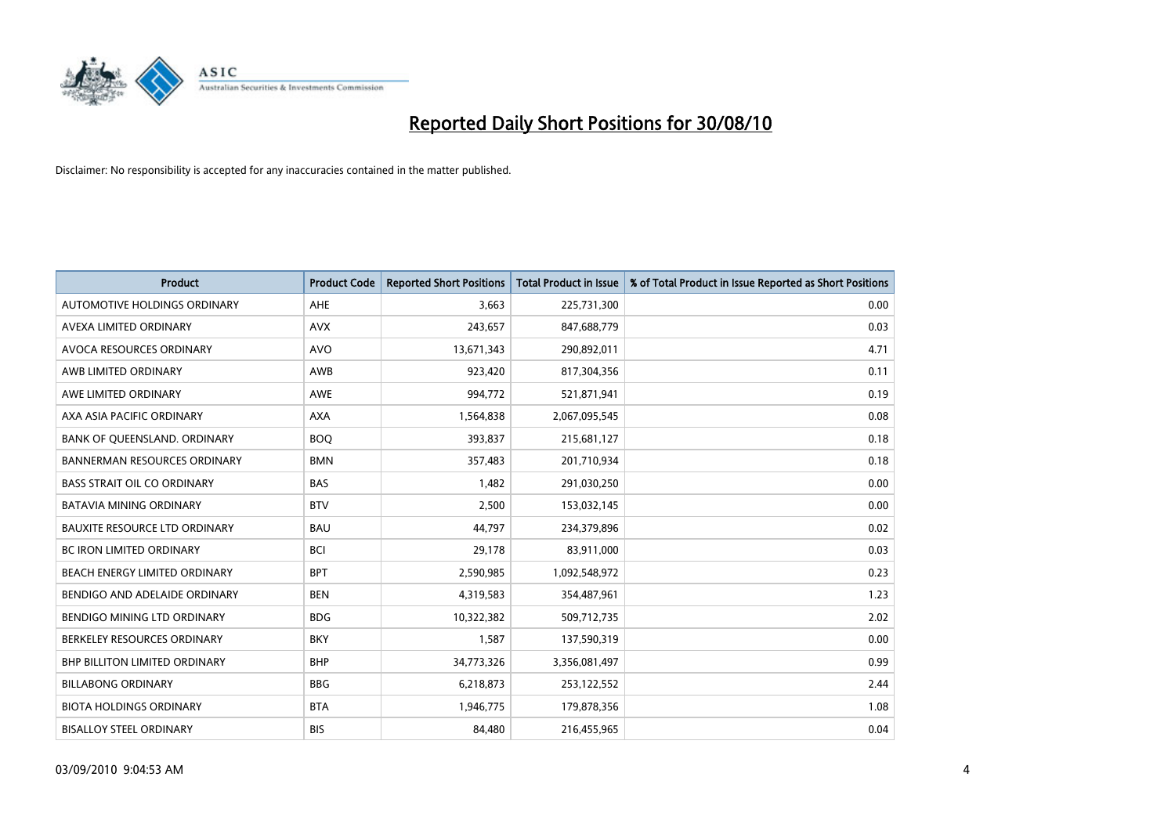

| <b>Product</b>                       | <b>Product Code</b> | <b>Reported Short Positions</b> | <b>Total Product in Issue</b> | % of Total Product in Issue Reported as Short Positions |
|--------------------------------------|---------------------|---------------------------------|-------------------------------|---------------------------------------------------------|
| AUTOMOTIVE HOLDINGS ORDINARY         | <b>AHE</b>          | 3,663                           | 225,731,300                   | 0.00                                                    |
| AVEXA LIMITED ORDINARY               | <b>AVX</b>          | 243,657                         | 847,688,779                   | 0.03                                                    |
| AVOCA RESOURCES ORDINARY             | <b>AVO</b>          | 13,671,343                      | 290,892,011                   | 4.71                                                    |
| AWB LIMITED ORDINARY                 | <b>AWB</b>          | 923,420                         | 817,304,356                   | 0.11                                                    |
| AWE LIMITED ORDINARY                 | <b>AWE</b>          | 994,772                         | 521,871,941                   | 0.19                                                    |
| AXA ASIA PACIFIC ORDINARY            | <b>AXA</b>          | 1,564,838                       | 2,067,095,545                 | 0.08                                                    |
| BANK OF QUEENSLAND. ORDINARY         | <b>BOQ</b>          | 393,837                         | 215,681,127                   | 0.18                                                    |
| <b>BANNERMAN RESOURCES ORDINARY</b>  | <b>BMN</b>          | 357,483                         | 201,710,934                   | 0.18                                                    |
| <b>BASS STRAIT OIL CO ORDINARY</b>   | <b>BAS</b>          | 1,482                           | 291,030,250                   | 0.00                                                    |
| <b>BATAVIA MINING ORDINARY</b>       | <b>BTV</b>          | 2,500                           | 153,032,145                   | 0.00                                                    |
| <b>BAUXITE RESOURCE LTD ORDINARY</b> | <b>BAU</b>          | 44,797                          | 234,379,896                   | 0.02                                                    |
| <b>BC IRON LIMITED ORDINARY</b>      | <b>BCI</b>          | 29,178                          | 83,911,000                    | 0.03                                                    |
| BEACH ENERGY LIMITED ORDINARY        | <b>BPT</b>          | 2,590,985                       | 1,092,548,972                 | 0.23                                                    |
| BENDIGO AND ADELAIDE ORDINARY        | <b>BEN</b>          | 4,319,583                       | 354,487,961                   | 1.23                                                    |
| <b>BENDIGO MINING LTD ORDINARY</b>   | <b>BDG</b>          | 10,322,382                      | 509,712,735                   | 2.02                                                    |
| BERKELEY RESOURCES ORDINARY          | <b>BKY</b>          | 1,587                           | 137,590,319                   | 0.00                                                    |
| <b>BHP BILLITON LIMITED ORDINARY</b> | <b>BHP</b>          | 34,773,326                      | 3,356,081,497                 | 0.99                                                    |
| <b>BILLABONG ORDINARY</b>            | <b>BBG</b>          | 6,218,873                       | 253,122,552                   | 2.44                                                    |
| <b>BIOTA HOLDINGS ORDINARY</b>       | <b>BTA</b>          | 1,946,775                       | 179,878,356                   | 1.08                                                    |
| <b>BISALLOY STEEL ORDINARY</b>       | <b>BIS</b>          | 84.480                          | 216,455,965                   | 0.04                                                    |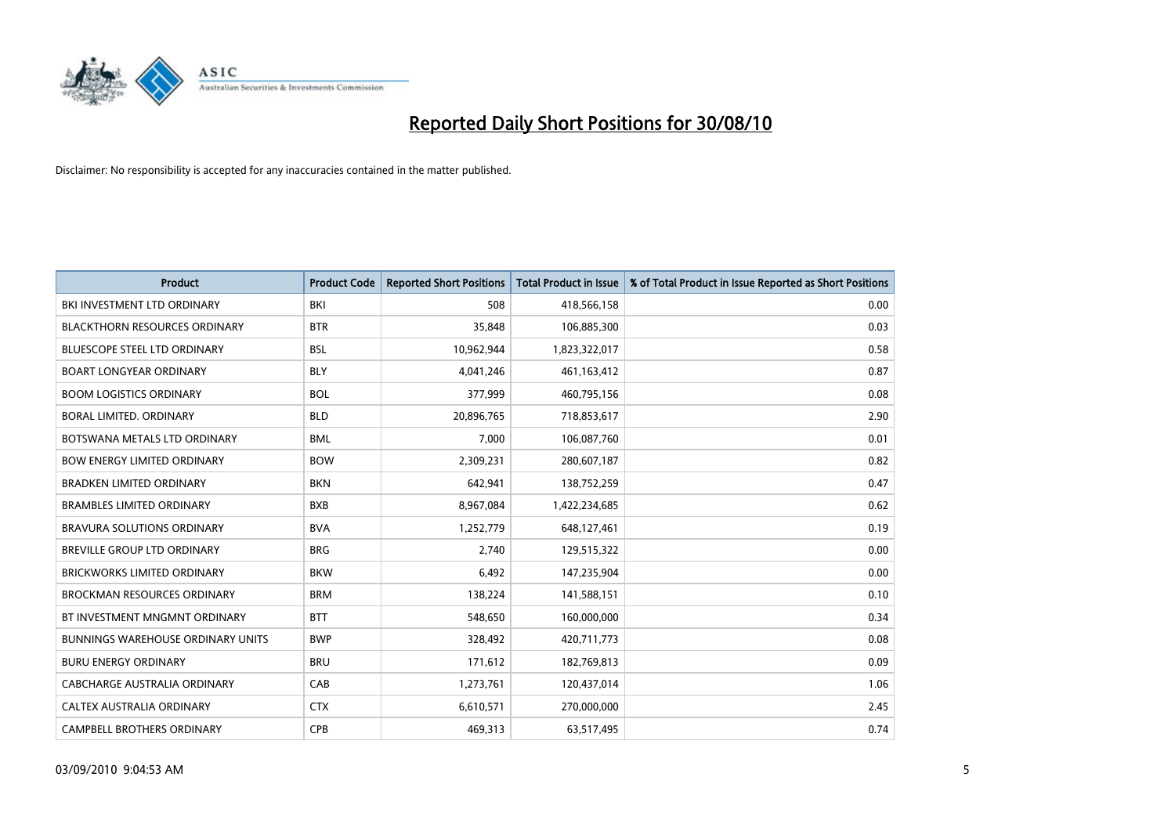

| <b>Product</b>                           | <b>Product Code</b> | <b>Reported Short Positions</b> | <b>Total Product in Issue</b> | % of Total Product in Issue Reported as Short Positions |
|------------------------------------------|---------------------|---------------------------------|-------------------------------|---------------------------------------------------------|
| BKI INVESTMENT LTD ORDINARY              | BKI                 | 508                             | 418,566,158                   | 0.00                                                    |
| <b>BLACKTHORN RESOURCES ORDINARY</b>     | <b>BTR</b>          | 35,848                          | 106,885,300                   | 0.03                                                    |
| <b>BLUESCOPE STEEL LTD ORDINARY</b>      | <b>BSL</b>          | 10,962,944                      | 1,823,322,017                 | 0.58                                                    |
| <b>BOART LONGYEAR ORDINARY</b>           | <b>BLY</b>          | 4,041,246                       | 461,163,412                   | 0.87                                                    |
| <b>BOOM LOGISTICS ORDINARY</b>           | <b>BOL</b>          | 377,999                         | 460,795,156                   | 0.08                                                    |
| <b>BORAL LIMITED, ORDINARY</b>           | <b>BLD</b>          | 20,896,765                      | 718,853,617                   | 2.90                                                    |
| BOTSWANA METALS LTD ORDINARY             | <b>BML</b>          | 7,000                           | 106,087,760                   | 0.01                                                    |
| <b>BOW ENERGY LIMITED ORDINARY</b>       | <b>BOW</b>          | 2,309,231                       | 280,607,187                   | 0.82                                                    |
| <b>BRADKEN LIMITED ORDINARY</b>          | <b>BKN</b>          | 642,941                         | 138,752,259                   | 0.47                                                    |
| <b>BRAMBLES LIMITED ORDINARY</b>         | <b>BXB</b>          | 8,967,084                       | 1,422,234,685                 | 0.62                                                    |
| BRAVURA SOLUTIONS ORDINARY               | <b>BVA</b>          | 1,252,779                       | 648,127,461                   | 0.19                                                    |
| <b>BREVILLE GROUP LTD ORDINARY</b>       | <b>BRG</b>          | 2,740                           | 129,515,322                   | 0.00                                                    |
| BRICKWORKS LIMITED ORDINARY              | <b>BKW</b>          | 6,492                           | 147,235,904                   | 0.00                                                    |
| <b>BROCKMAN RESOURCES ORDINARY</b>       | <b>BRM</b>          | 138,224                         | 141,588,151                   | 0.10                                                    |
| BT INVESTMENT MNGMNT ORDINARY            | <b>BTT</b>          | 548,650                         | 160,000,000                   | 0.34                                                    |
| <b>BUNNINGS WAREHOUSE ORDINARY UNITS</b> | <b>BWP</b>          | 328,492                         | 420,711,773                   | 0.08                                                    |
| <b>BURU ENERGY ORDINARY</b>              | <b>BRU</b>          | 171,612                         | 182,769,813                   | 0.09                                                    |
| CABCHARGE AUSTRALIA ORDINARY             | CAB                 | 1,273,761                       | 120,437,014                   | 1.06                                                    |
| CALTEX AUSTRALIA ORDINARY                | <b>CTX</b>          | 6,610,571                       | 270,000,000                   | 2.45                                                    |
| CAMPBELL BROTHERS ORDINARY               | <b>CPB</b>          | 469,313                         | 63,517,495                    | 0.74                                                    |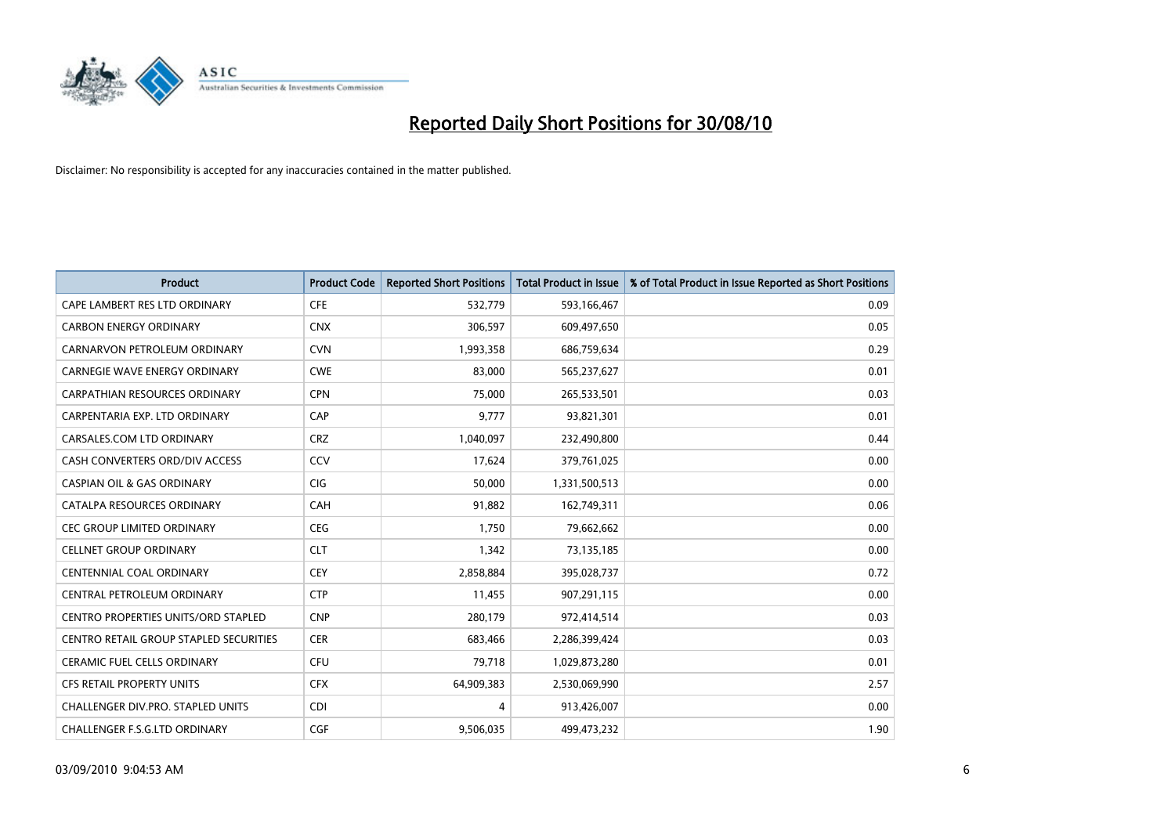

| <b>Product</b>                             | <b>Product Code</b> | <b>Reported Short Positions</b> | Total Product in Issue | % of Total Product in Issue Reported as Short Positions |
|--------------------------------------------|---------------------|---------------------------------|------------------------|---------------------------------------------------------|
| CAPE LAMBERT RES LTD ORDINARY              | <b>CFE</b>          | 532,779                         | 593,166,467            | 0.09                                                    |
| <b>CARBON ENERGY ORDINARY</b>              | <b>CNX</b>          | 306,597                         | 609,497,650            | 0.05                                                    |
| CARNARVON PETROLEUM ORDINARY               | <b>CVN</b>          | 1,993,358                       | 686,759,634            | 0.29                                                    |
| CARNEGIE WAVE ENERGY ORDINARY              | <b>CWE</b>          | 83,000                          | 565,237,627            | 0.01                                                    |
| <b>CARPATHIAN RESOURCES ORDINARY</b>       | <b>CPN</b>          | 75,000                          | 265,533,501            | 0.03                                                    |
| CARPENTARIA EXP. LTD ORDINARY              | CAP                 | 9,777                           | 93,821,301             | 0.01                                                    |
| CARSALES.COM LTD ORDINARY                  | <b>CRZ</b>          | 1,040,097                       | 232,490,800            | 0.44                                                    |
| CASH CONVERTERS ORD/DIV ACCESS             | CCV                 | 17,624                          | 379,761,025            | 0.00                                                    |
| <b>CASPIAN OIL &amp; GAS ORDINARY</b>      | CIG                 | 50,000                          | 1,331,500,513          | 0.00                                                    |
| CATALPA RESOURCES ORDINARY                 | CAH                 | 91,882                          | 162,749,311            | 0.06                                                    |
| <b>CEC GROUP LIMITED ORDINARY</b>          | <b>CEG</b>          | 1,750                           | 79,662,662             | 0.00                                                    |
| <b>CELLNET GROUP ORDINARY</b>              | <b>CLT</b>          | 1,342                           | 73,135,185             | 0.00                                                    |
| CENTENNIAL COAL ORDINARY                   | CEY                 | 2,858,884                       | 395,028,737            | 0.72                                                    |
| CENTRAL PETROLEUM ORDINARY                 | <b>CTP</b>          | 11,455                          | 907,291,115            | 0.00                                                    |
| <b>CENTRO PROPERTIES UNITS/ORD STAPLED</b> | <b>CNP</b>          | 280,179                         | 972,414,514            | 0.03                                                    |
| CENTRO RETAIL GROUP STAPLED SECURITIES     | <b>CER</b>          | 683,466                         | 2,286,399,424          | 0.03                                                    |
| <b>CERAMIC FUEL CELLS ORDINARY</b>         | <b>CFU</b>          | 79,718                          | 1,029,873,280          | 0.01                                                    |
| <b>CFS RETAIL PROPERTY UNITS</b>           | <b>CFX</b>          | 64,909,383                      | 2,530,069,990          | 2.57                                                    |
| CHALLENGER DIV.PRO. STAPLED UNITS          | <b>CDI</b>          | 4                               | 913,426,007            | 0.00                                                    |
| CHALLENGER F.S.G.LTD ORDINARY              | CGF                 | 9,506,035                       | 499.473.232            | 1.90                                                    |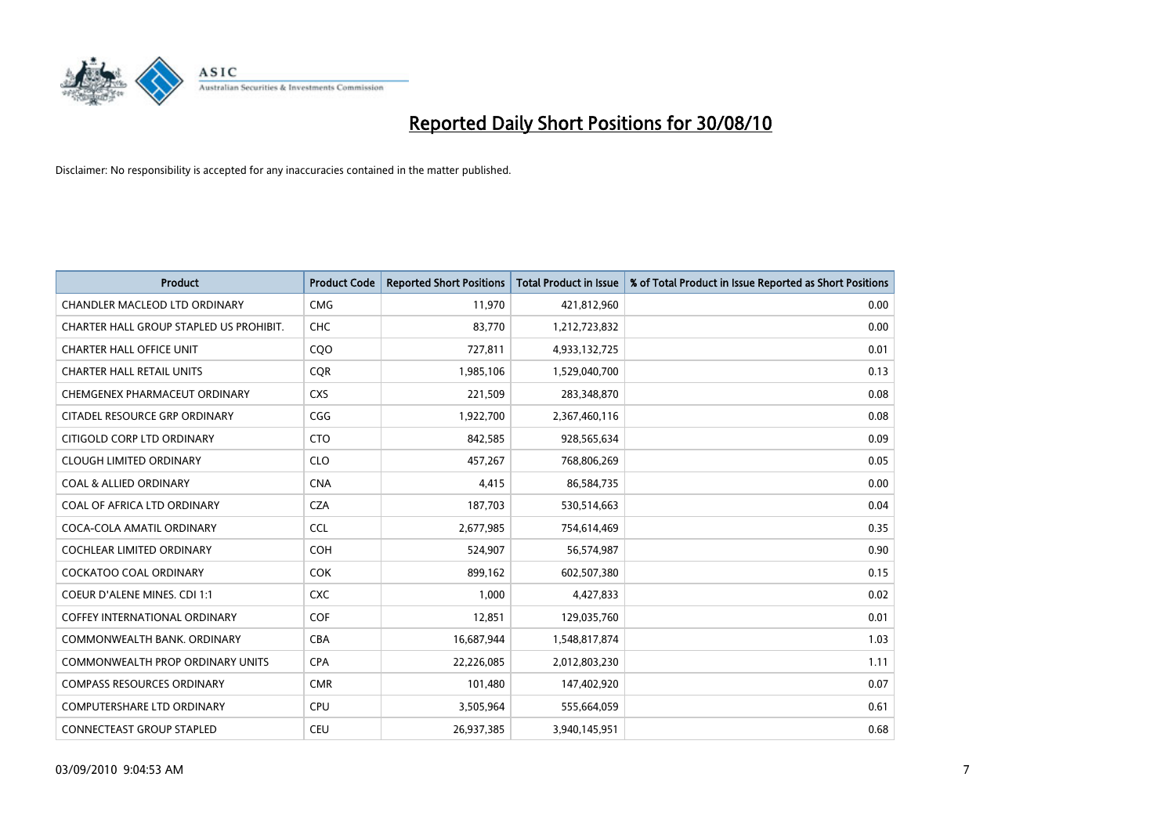

| <b>Product</b>                          | <b>Product Code</b> | <b>Reported Short Positions</b> | <b>Total Product in Issue</b> | % of Total Product in Issue Reported as Short Positions |
|-----------------------------------------|---------------------|---------------------------------|-------------------------------|---------------------------------------------------------|
| <b>CHANDLER MACLEOD LTD ORDINARY</b>    | <b>CMG</b>          | 11,970                          | 421,812,960                   | 0.00                                                    |
| CHARTER HALL GROUP STAPLED US PROHIBIT. | CHC                 | 83,770                          | 1,212,723,832                 | 0.00                                                    |
| <b>CHARTER HALL OFFICE UNIT</b>         | COO                 | 727,811                         | 4,933,132,725                 | 0.01                                                    |
| <b>CHARTER HALL RETAIL UNITS</b>        | <b>COR</b>          | 1,985,106                       | 1,529,040,700                 | 0.13                                                    |
| CHEMGENEX PHARMACEUT ORDINARY           | <b>CXS</b>          | 221,509                         | 283,348,870                   | 0.08                                                    |
| CITADEL RESOURCE GRP ORDINARY           | CGG                 | 1,922,700                       | 2,367,460,116                 | 0.08                                                    |
| CITIGOLD CORP LTD ORDINARY              | <b>CTO</b>          | 842,585                         | 928,565,634                   | 0.09                                                    |
| <b>CLOUGH LIMITED ORDINARY</b>          | <b>CLO</b>          | 457,267                         | 768,806,269                   | 0.05                                                    |
| <b>COAL &amp; ALLIED ORDINARY</b>       | <b>CNA</b>          | 4,415                           | 86,584,735                    | 0.00                                                    |
| COAL OF AFRICA LTD ORDINARY             | <b>CZA</b>          | 187,703                         | 530,514,663                   | 0.04                                                    |
| COCA-COLA AMATIL ORDINARY               | <b>CCL</b>          | 2,677,985                       | 754,614,469                   | 0.35                                                    |
| <b>COCHLEAR LIMITED ORDINARY</b>        | <b>COH</b>          | 524,907                         | 56,574,987                    | 0.90                                                    |
| <b>COCKATOO COAL ORDINARY</b>           | <b>COK</b>          | 899,162                         | 602,507,380                   | 0.15                                                    |
| <b>COEUR D'ALENE MINES. CDI 1:1</b>     | <b>CXC</b>          | 1,000                           | 4,427,833                     | 0.02                                                    |
| <b>COFFEY INTERNATIONAL ORDINARY</b>    | <b>COF</b>          | 12,851                          | 129,035,760                   | 0.01                                                    |
| COMMONWEALTH BANK, ORDINARY             | <b>CBA</b>          | 16,687,944                      | 1,548,817,874                 | 1.03                                                    |
| COMMONWEALTH PROP ORDINARY UNITS        | <b>CPA</b>          | 22,226,085                      | 2,012,803,230                 | 1.11                                                    |
| <b>COMPASS RESOURCES ORDINARY</b>       | <b>CMR</b>          | 101,480                         | 147,402,920                   | 0.07                                                    |
| <b>COMPUTERSHARE LTD ORDINARY</b>       | <b>CPU</b>          | 3,505,964                       | 555,664,059                   | 0.61                                                    |
| <b>CONNECTEAST GROUP STAPLED</b>        | <b>CEU</b>          | 26,937,385                      | 3,940,145,951                 | 0.68                                                    |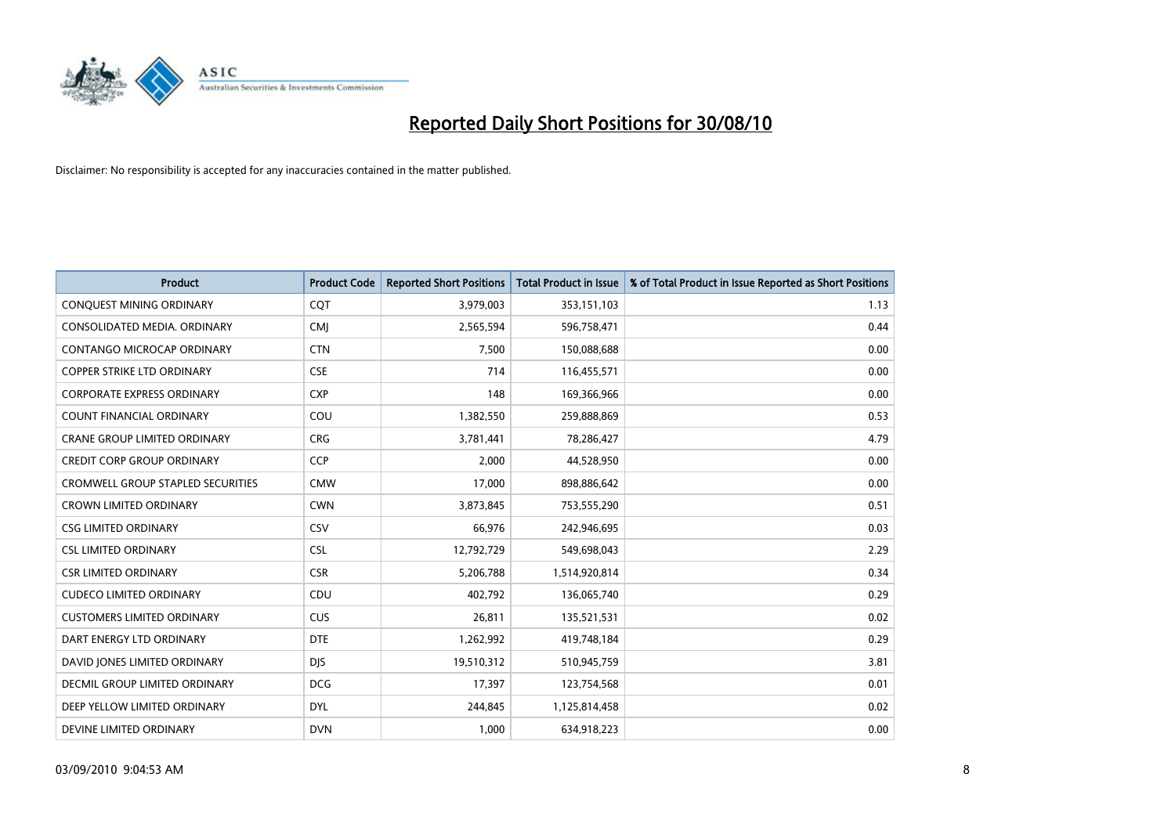

| <b>Product</b>                      | <b>Product Code</b> | <b>Reported Short Positions</b> | Total Product in Issue | % of Total Product in Issue Reported as Short Positions |
|-------------------------------------|---------------------|---------------------------------|------------------------|---------------------------------------------------------|
| CONQUEST MINING ORDINARY            | CQT                 | 3,979,003                       | 353,151,103            | 1.13                                                    |
| CONSOLIDATED MEDIA. ORDINARY        | <b>CMI</b>          | 2,565,594                       | 596,758,471            | 0.44                                                    |
| CONTANGO MICROCAP ORDINARY          | <b>CTN</b>          | 7,500                           | 150,088,688            | 0.00                                                    |
| COPPER STRIKE LTD ORDINARY          | <b>CSE</b>          | 714                             | 116,455,571            | 0.00                                                    |
| <b>CORPORATE EXPRESS ORDINARY</b>   | <b>CXP</b>          | 148                             | 169,366,966            | 0.00                                                    |
| <b>COUNT FINANCIAL ORDINARY</b>     | COU                 | 1,382,550                       | 259,888,869            | 0.53                                                    |
| <b>CRANE GROUP LIMITED ORDINARY</b> | <b>CRG</b>          | 3,781,441                       | 78,286,427             | 4.79                                                    |
| CREDIT CORP GROUP ORDINARY          | <b>CCP</b>          | 2,000                           | 44,528,950             | 0.00                                                    |
| CROMWELL GROUP STAPLED SECURITIES   | <b>CMW</b>          | 17,000                          | 898,886,642            | 0.00                                                    |
| <b>CROWN LIMITED ORDINARY</b>       | <b>CWN</b>          | 3,873,845                       | 753,555,290            | 0.51                                                    |
| <b>CSG LIMITED ORDINARY</b>         | CSV                 | 66,976                          | 242,946,695            | 0.03                                                    |
| <b>CSL LIMITED ORDINARY</b>         | <b>CSL</b>          | 12,792,729                      | 549,698,043            | 2.29                                                    |
| <b>CSR LIMITED ORDINARY</b>         | <b>CSR</b>          | 5,206,788                       | 1,514,920,814          | 0.34                                                    |
| <b>CUDECO LIMITED ORDINARY</b>      | CDU                 | 402,792                         | 136,065,740            | 0.29                                                    |
| <b>CUSTOMERS LIMITED ORDINARY</b>   | CUS                 | 26,811                          | 135,521,531            | 0.02                                                    |
| DART ENERGY LTD ORDINARY            | <b>DTE</b>          | 1,262,992                       | 419,748,184            | 0.29                                                    |
| DAVID JONES LIMITED ORDINARY        | <b>DJS</b>          | 19,510,312                      | 510,945,759            | 3.81                                                    |
| DECMIL GROUP LIMITED ORDINARY       | <b>DCG</b>          | 17,397                          | 123,754,568            | 0.01                                                    |
| DEEP YELLOW LIMITED ORDINARY        | <b>DYL</b>          | 244,845                         | 1,125,814,458          | 0.02                                                    |
| DEVINE LIMITED ORDINARY             | <b>DVN</b>          | 1,000                           | 634,918,223            | 0.00                                                    |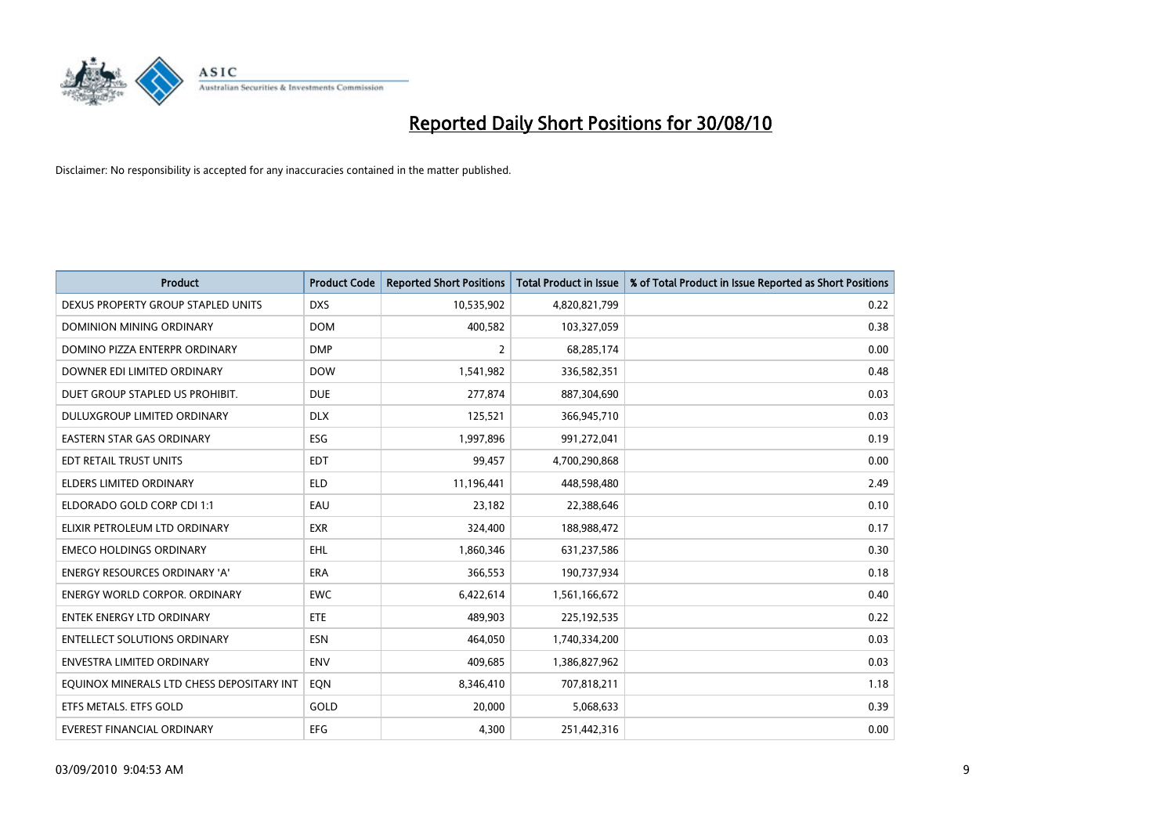

| <b>Product</b>                            | <b>Product Code</b> | <b>Reported Short Positions</b> | <b>Total Product in Issue</b> | % of Total Product in Issue Reported as Short Positions |
|-------------------------------------------|---------------------|---------------------------------|-------------------------------|---------------------------------------------------------|
| DEXUS PROPERTY GROUP STAPLED UNITS        | <b>DXS</b>          | 10,535,902                      | 4,820,821,799                 | 0.22                                                    |
| DOMINION MINING ORDINARY                  | <b>DOM</b>          | 400,582                         | 103,327,059                   | 0.38                                                    |
| DOMINO PIZZA ENTERPR ORDINARY             | <b>DMP</b>          | 2                               | 68,285,174                    | 0.00                                                    |
| DOWNER EDI LIMITED ORDINARY               | <b>DOW</b>          | 1,541,982                       | 336,582,351                   | 0.48                                                    |
| DUET GROUP STAPLED US PROHIBIT.           | <b>DUE</b>          | 277,874                         | 887,304,690                   | 0.03                                                    |
| DULUXGROUP LIMITED ORDINARY               | <b>DLX</b>          | 125,521                         | 366,945,710                   | 0.03                                                    |
| <b>EASTERN STAR GAS ORDINARY</b>          | ESG                 | 1,997,896                       | 991,272,041                   | 0.19                                                    |
| EDT RETAIL TRUST UNITS                    | <b>EDT</b>          | 99,457                          | 4,700,290,868                 | 0.00                                                    |
| ELDERS LIMITED ORDINARY                   | <b>ELD</b>          | 11,196,441                      | 448,598,480                   | 2.49                                                    |
| ELDORADO GOLD CORP CDI 1:1                | EAU                 | 23,182                          | 22,388,646                    | 0.10                                                    |
| ELIXIR PETROLEUM LTD ORDINARY             | <b>EXR</b>          | 324,400                         | 188,988,472                   | 0.17                                                    |
| <b>EMECO HOLDINGS ORDINARY</b>            | <b>EHL</b>          | 1,860,346                       | 631,237,586                   | 0.30                                                    |
| <b>ENERGY RESOURCES ORDINARY 'A'</b>      | <b>ERA</b>          | 366,553                         | 190,737,934                   | 0.18                                                    |
| <b>ENERGY WORLD CORPOR, ORDINARY</b>      | <b>EWC</b>          | 6,422,614                       | 1,561,166,672                 | 0.40                                                    |
| <b>ENTEK ENERGY LTD ORDINARY</b>          | <b>ETE</b>          | 489,903                         | 225,192,535                   | 0.22                                                    |
| <b>ENTELLECT SOLUTIONS ORDINARY</b>       | <b>ESN</b>          | 464,050                         | 1,740,334,200                 | 0.03                                                    |
| <b>ENVESTRA LIMITED ORDINARY</b>          | <b>ENV</b>          | 409,685                         | 1,386,827,962                 | 0.03                                                    |
| EQUINOX MINERALS LTD CHESS DEPOSITARY INT | EON                 | 8,346,410                       | 707,818,211                   | 1.18                                                    |
| ETFS METALS. ETFS GOLD                    | GOLD                | 20,000                          | 5,068,633                     | 0.39                                                    |
| EVEREST FINANCIAL ORDINARY                | <b>EFG</b>          | 4.300                           | 251,442,316                   | 0.00                                                    |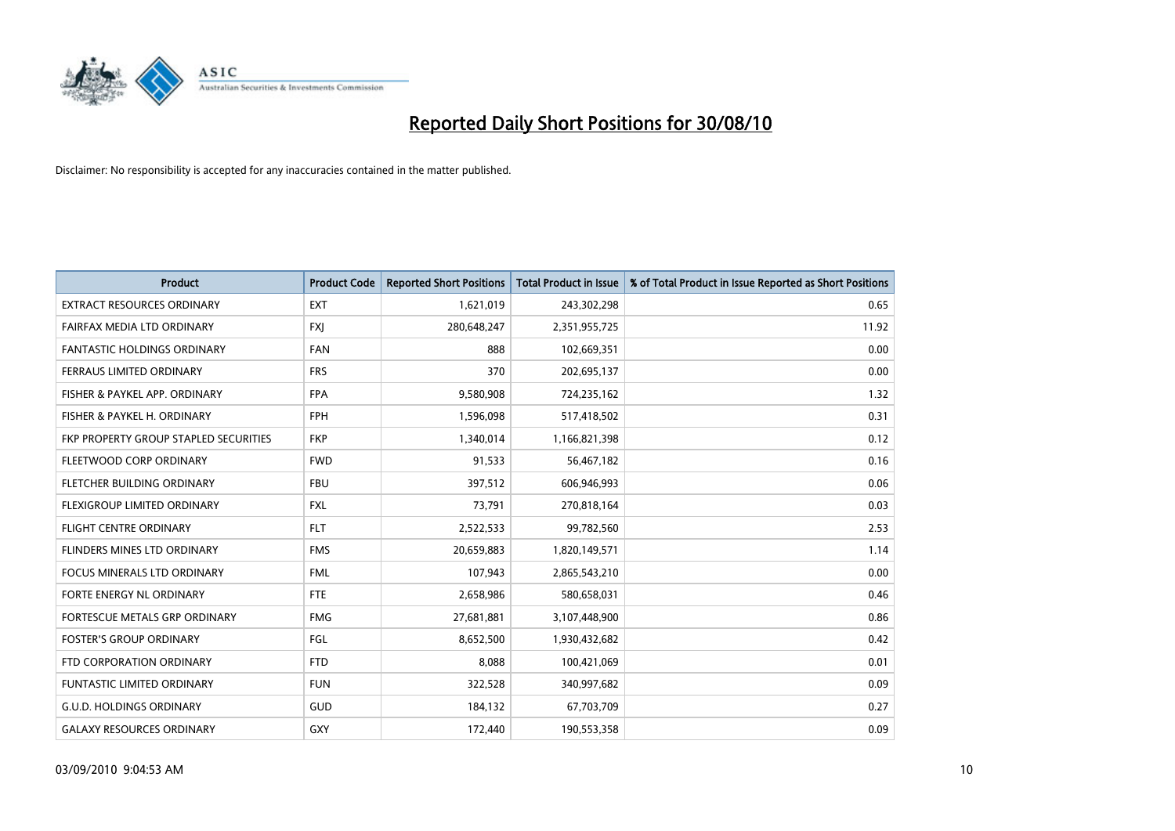

| <b>Product</b>                        | <b>Product Code</b> | <b>Reported Short Positions</b> | <b>Total Product in Issue</b> | % of Total Product in Issue Reported as Short Positions |
|---------------------------------------|---------------------|---------------------------------|-------------------------------|---------------------------------------------------------|
| <b>EXTRACT RESOURCES ORDINARY</b>     | <b>EXT</b>          | 1,621,019                       | 243,302,298                   | 0.65                                                    |
| FAIRFAX MEDIA LTD ORDINARY            | <b>FXJ</b>          | 280,648,247                     | 2,351,955,725                 | 11.92                                                   |
| FANTASTIC HOLDINGS ORDINARY           | <b>FAN</b>          | 888                             | 102,669,351                   | 0.00                                                    |
| FERRAUS LIMITED ORDINARY              | <b>FRS</b>          | 370                             | 202,695,137                   | 0.00                                                    |
| FISHER & PAYKEL APP. ORDINARY         | <b>FPA</b>          | 9,580,908                       | 724,235,162                   | 1.32                                                    |
| FISHER & PAYKEL H. ORDINARY           | <b>FPH</b>          | 1,596,098                       | 517,418,502                   | 0.31                                                    |
| FKP PROPERTY GROUP STAPLED SECURITIES | <b>FKP</b>          | 1,340,014                       | 1,166,821,398                 | 0.12                                                    |
| FLEETWOOD CORP ORDINARY               | <b>FWD</b>          | 91,533                          | 56,467,182                    | 0.16                                                    |
| FLETCHER BUILDING ORDINARY            | <b>FBU</b>          | 397,512                         | 606,946,993                   | 0.06                                                    |
| FLEXIGROUP LIMITED ORDINARY           | <b>FXL</b>          | 73,791                          | 270,818,164                   | 0.03                                                    |
| FLIGHT CENTRE ORDINARY                | <b>FLT</b>          | 2,522,533                       | 99,782,560                    | 2.53                                                    |
| FLINDERS MINES LTD ORDINARY           | <b>FMS</b>          | 20,659,883                      | 1,820,149,571                 | 1.14                                                    |
| <b>FOCUS MINERALS LTD ORDINARY</b>    | <b>FML</b>          | 107,943                         | 2,865,543,210                 | 0.00                                                    |
| FORTE ENERGY NL ORDINARY              | <b>FTE</b>          | 2,658,986                       | 580,658,031                   | 0.46                                                    |
| FORTESCUE METALS GRP ORDINARY         | <b>FMG</b>          | 27,681,881                      | 3,107,448,900                 | 0.86                                                    |
| <b>FOSTER'S GROUP ORDINARY</b>        | FGL                 | 8,652,500                       | 1,930,432,682                 | 0.42                                                    |
| FTD CORPORATION ORDINARY              | <b>FTD</b>          | 8,088                           | 100,421,069                   | 0.01                                                    |
| <b>FUNTASTIC LIMITED ORDINARY</b>     | <b>FUN</b>          | 322,528                         | 340,997,682                   | 0.09                                                    |
| <b>G.U.D. HOLDINGS ORDINARY</b>       | <b>GUD</b>          | 184,132                         | 67,703,709                    | 0.27                                                    |
| <b>GALAXY RESOURCES ORDINARY</b>      | <b>GXY</b>          | 172,440                         | 190,553,358                   | 0.09                                                    |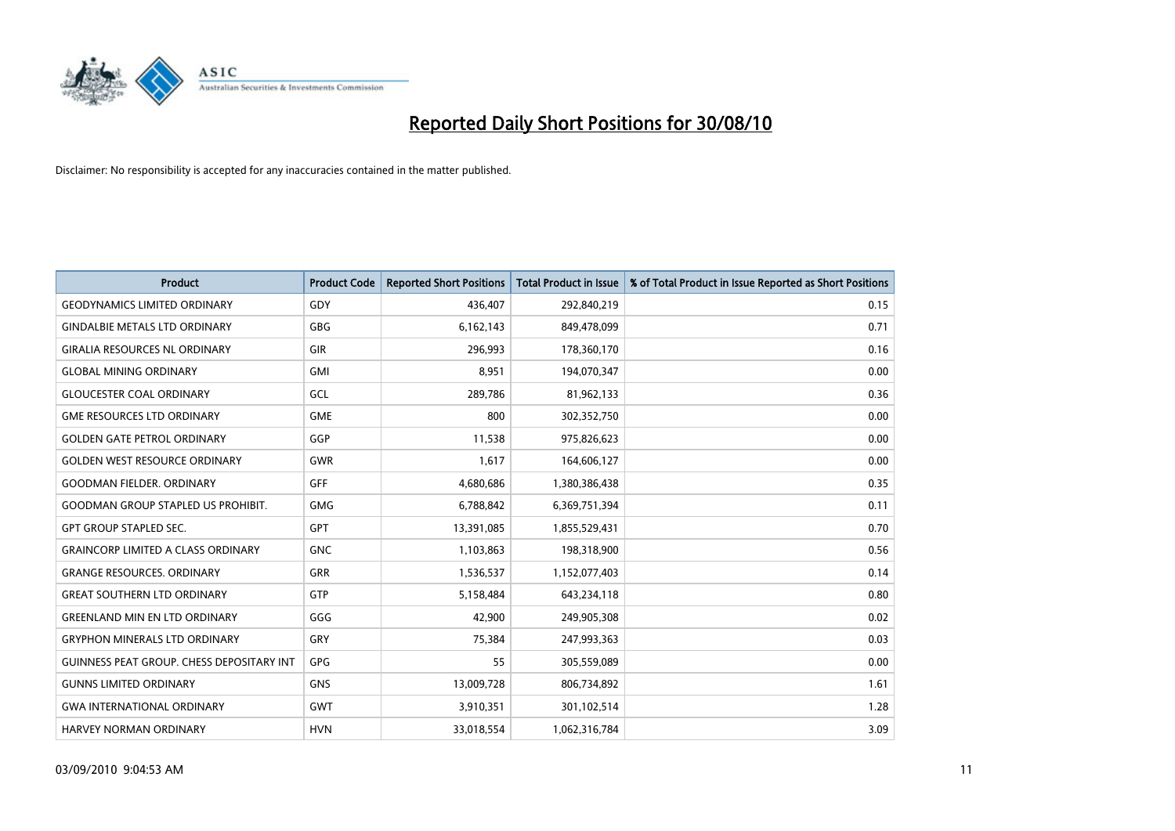

| <b>Product</b>                                   | <b>Product Code</b> | <b>Reported Short Positions</b> | Total Product in Issue | % of Total Product in Issue Reported as Short Positions |
|--------------------------------------------------|---------------------|---------------------------------|------------------------|---------------------------------------------------------|
| <b>GEODYNAMICS LIMITED ORDINARY</b>              | GDY                 | 436,407                         | 292,840,219            | 0.15                                                    |
| <b>GINDALBIE METALS LTD ORDINARY</b>             | <b>GBG</b>          | 6,162,143                       | 849,478,099            | 0.71                                                    |
| <b>GIRALIA RESOURCES NL ORDINARY</b>             | <b>GIR</b>          | 296,993                         | 178,360,170            | 0.16                                                    |
| <b>GLOBAL MINING ORDINARY</b>                    | <b>GMI</b>          | 8,951                           | 194,070,347            | 0.00                                                    |
| <b>GLOUCESTER COAL ORDINARY</b>                  | GCL                 | 289,786                         | 81,962,133             | 0.36                                                    |
| <b>GME RESOURCES LTD ORDINARY</b>                | <b>GME</b>          | 800                             | 302,352,750            | 0.00                                                    |
| <b>GOLDEN GATE PETROL ORDINARY</b>               | GGP                 | 11,538                          | 975,826,623            | 0.00                                                    |
| <b>GOLDEN WEST RESOURCE ORDINARY</b>             | <b>GWR</b>          | 1,617                           | 164,606,127            | 0.00                                                    |
| <b>GOODMAN FIELDER. ORDINARY</b>                 | <b>GFF</b>          | 4,680,686                       | 1,380,386,438          | 0.35                                                    |
| <b>GOODMAN GROUP STAPLED US PROHIBIT.</b>        | <b>GMG</b>          | 6,788,842                       | 6,369,751,394          | 0.11                                                    |
| <b>GPT GROUP STAPLED SEC.</b>                    | <b>GPT</b>          | 13,391,085                      | 1,855,529,431          | 0.70                                                    |
| <b>GRAINCORP LIMITED A CLASS ORDINARY</b>        | <b>GNC</b>          | 1,103,863                       | 198,318,900            | 0.56                                                    |
| <b>GRANGE RESOURCES, ORDINARY</b>                | <b>GRR</b>          | 1,536,537                       | 1,152,077,403          | 0.14                                                    |
| <b>GREAT SOUTHERN LTD ORDINARY</b>               | GTP                 | 5,158,484                       | 643,234,118            | 0.80                                                    |
| <b>GREENLAND MIN EN LTD ORDINARY</b>             | GGG                 | 42,900                          | 249,905,308            | 0.02                                                    |
| <b>GRYPHON MINERALS LTD ORDINARY</b>             | GRY                 | 75,384                          | 247,993,363            | 0.03                                                    |
| <b>GUINNESS PEAT GROUP. CHESS DEPOSITARY INT</b> | GPG                 | 55                              | 305,559,089            | 0.00                                                    |
| <b>GUNNS LIMITED ORDINARY</b>                    | <b>GNS</b>          | 13,009,728                      | 806,734,892            | 1.61                                                    |
| <b>GWA INTERNATIONAL ORDINARY</b>                | <b>GWT</b>          | 3,910,351                       | 301,102,514            | 1.28                                                    |
| <b>HARVEY NORMAN ORDINARY</b>                    | <b>HVN</b>          | 33,018,554                      | 1,062,316,784          | 3.09                                                    |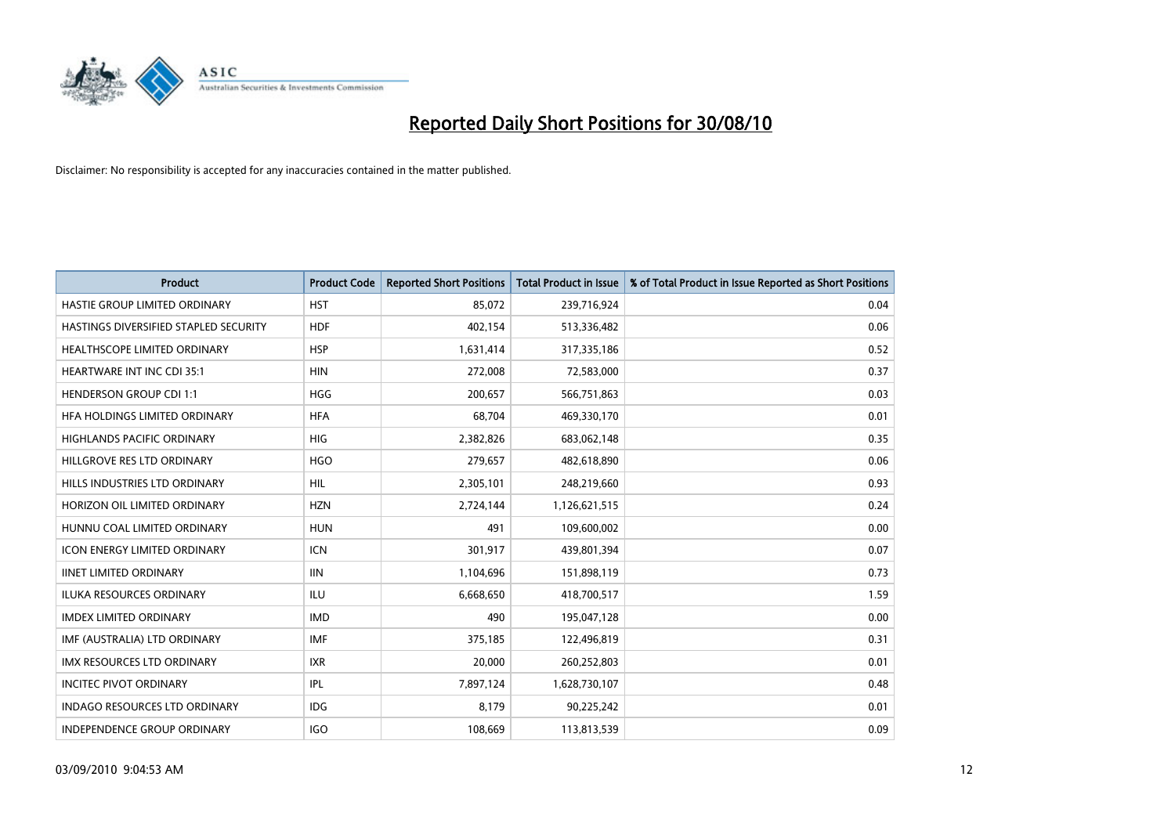

| <b>Product</b>                        | <b>Product Code</b> | <b>Reported Short Positions</b> | Total Product in Issue | % of Total Product in Issue Reported as Short Positions |
|---------------------------------------|---------------------|---------------------------------|------------------------|---------------------------------------------------------|
| HASTIE GROUP LIMITED ORDINARY         | <b>HST</b>          | 85,072                          | 239,716,924            | 0.04                                                    |
| HASTINGS DIVERSIFIED STAPLED SECURITY | <b>HDF</b>          | 402,154                         | 513,336,482            | 0.06                                                    |
| <b>HEALTHSCOPE LIMITED ORDINARY</b>   | <b>HSP</b>          | 1,631,414                       | 317,335,186            | 0.52                                                    |
| HEARTWARE INT INC CDI 35:1            | <b>HIN</b>          | 272,008                         | 72,583,000             | 0.37                                                    |
| <b>HENDERSON GROUP CDI 1:1</b>        | <b>HGG</b>          | 200,657                         | 566,751,863            | 0.03                                                    |
| HFA HOLDINGS LIMITED ORDINARY         | <b>HFA</b>          | 68,704                          | 469,330,170            | 0.01                                                    |
| <b>HIGHLANDS PACIFIC ORDINARY</b>     | <b>HIG</b>          | 2,382,826                       | 683,062,148            | 0.35                                                    |
| HILLGROVE RES LTD ORDINARY            | <b>HGO</b>          | 279,657                         | 482,618,890            | 0.06                                                    |
| HILLS INDUSTRIES LTD ORDINARY         | HIL                 | 2,305,101                       | 248,219,660            | 0.93                                                    |
| HORIZON OIL LIMITED ORDINARY          | <b>HZN</b>          | 2,724,144                       | 1,126,621,515          | 0.24                                                    |
| HUNNU COAL LIMITED ORDINARY           | <b>HUN</b>          | 491                             | 109,600,002            | 0.00                                                    |
| <b>ICON ENERGY LIMITED ORDINARY</b>   | <b>ICN</b>          | 301,917                         | 439,801,394            | 0.07                                                    |
| <b>IINET LIMITED ORDINARY</b>         | <b>IIN</b>          | 1,104,696                       | 151,898,119            | 0.73                                                    |
| <b>ILUKA RESOURCES ORDINARY</b>       | <b>ILU</b>          | 6,668,650                       | 418,700,517            | 1.59                                                    |
| <b>IMDEX LIMITED ORDINARY</b>         | <b>IMD</b>          | 490                             | 195,047,128            | 0.00                                                    |
| IMF (AUSTRALIA) LTD ORDINARY          | <b>IMF</b>          | 375,185                         | 122,496,819            | 0.31                                                    |
| <b>IMX RESOURCES LTD ORDINARY</b>     | <b>IXR</b>          | 20,000                          | 260,252,803            | 0.01                                                    |
| <b>INCITEC PIVOT ORDINARY</b>         | IPL                 | 7,897,124                       | 1,628,730,107          | 0.48                                                    |
| <b>INDAGO RESOURCES LTD ORDINARY</b>  | <b>IDG</b>          | 8,179                           | 90,225,242             | 0.01                                                    |
| INDEPENDENCE GROUP ORDINARY           | <b>IGO</b>          | 108,669                         | 113,813,539            | 0.09                                                    |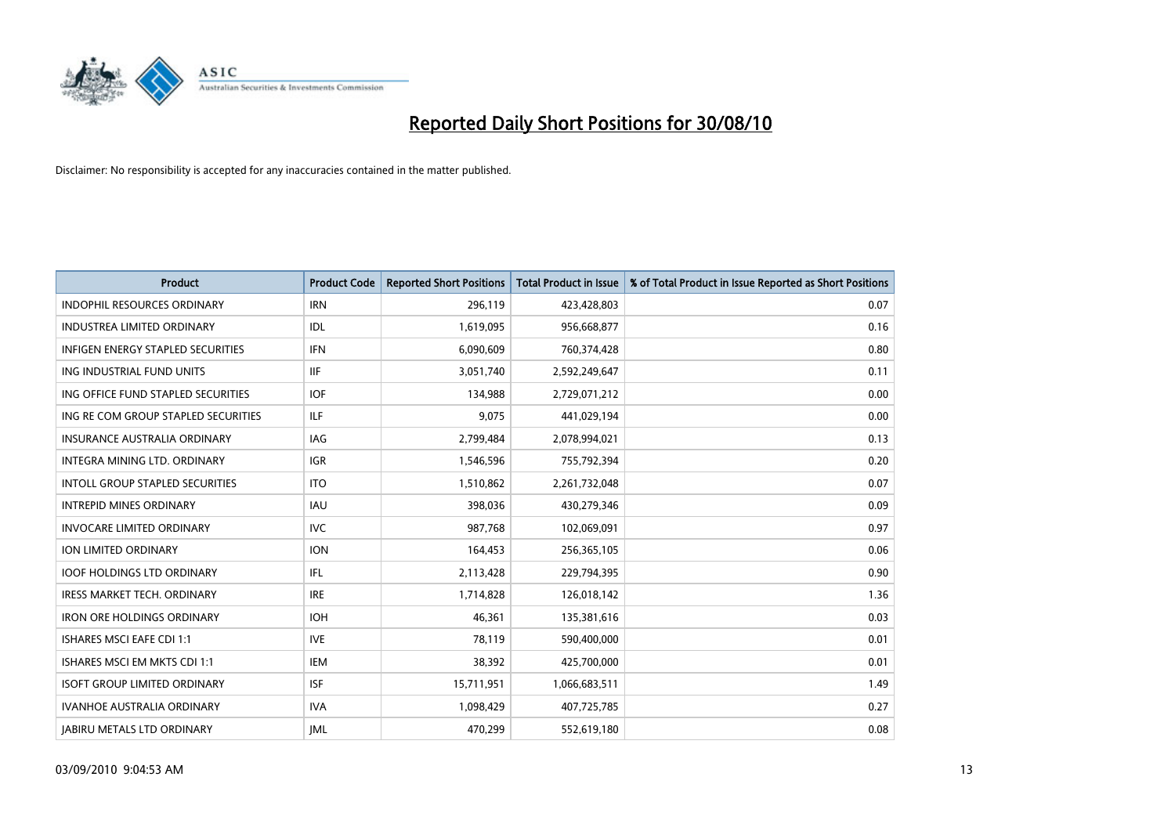

| <b>Product</b>                           | <b>Product Code</b> | <b>Reported Short Positions</b> | <b>Total Product in Issue</b> | % of Total Product in Issue Reported as Short Positions |
|------------------------------------------|---------------------|---------------------------------|-------------------------------|---------------------------------------------------------|
| <b>INDOPHIL RESOURCES ORDINARY</b>       | <b>IRN</b>          | 296,119                         | 423,428,803                   | 0.07                                                    |
| INDUSTREA LIMITED ORDINARY               | <b>IDL</b>          | 1,619,095                       | 956,668,877                   | 0.16                                                    |
| <b>INFIGEN ENERGY STAPLED SECURITIES</b> | <b>IFN</b>          | 6,090,609                       | 760,374,428                   | 0.80                                                    |
| ING INDUSTRIAL FUND UNITS                | <b>IIF</b>          | 3,051,740                       | 2,592,249,647                 | 0.11                                                    |
| ING OFFICE FUND STAPLED SECURITIES       | <b>IOF</b>          | 134,988                         | 2,729,071,212                 | 0.00                                                    |
| ING RE COM GROUP STAPLED SECURITIES      | <b>ILF</b>          | 9,075                           | 441,029,194                   | 0.00                                                    |
| <b>INSURANCE AUSTRALIA ORDINARY</b>      | <b>IAG</b>          | 2,799,484                       | 2,078,994,021                 | 0.13                                                    |
| INTEGRA MINING LTD. ORDINARY             | <b>IGR</b>          | 1,546,596                       | 755,792,394                   | 0.20                                                    |
| <b>INTOLL GROUP STAPLED SECURITIES</b>   | <b>ITO</b>          | 1,510,862                       | 2,261,732,048                 | 0.07                                                    |
| <b>INTREPID MINES ORDINARY</b>           | <b>IAU</b>          | 398,036                         | 430,279,346                   | 0.09                                                    |
| <b>INVOCARE LIMITED ORDINARY</b>         | <b>IVC</b>          | 987,768                         | 102,069,091                   | 0.97                                                    |
| ION LIMITED ORDINARY                     | <b>ION</b>          | 164,453                         | 256,365,105                   | 0.06                                                    |
| <b>IOOF HOLDINGS LTD ORDINARY</b>        | IFL.                | 2,113,428                       | 229,794,395                   | 0.90                                                    |
| <b>IRESS MARKET TECH. ORDINARY</b>       | <b>IRE</b>          | 1,714,828                       | 126,018,142                   | 1.36                                                    |
| <b>IRON ORE HOLDINGS ORDINARY</b>        | <b>IOH</b>          | 46,361                          | 135,381,616                   | 0.03                                                    |
| <b>ISHARES MSCI EAFE CDI 1:1</b>         | <b>IVE</b>          | 78,119                          | 590,400,000                   | 0.01                                                    |
| ISHARES MSCI EM MKTS CDI 1:1             | <b>IEM</b>          | 38,392                          | 425,700,000                   | 0.01                                                    |
| <b>ISOFT GROUP LIMITED ORDINARY</b>      | <b>ISF</b>          | 15,711,951                      | 1,066,683,511                 | 1.49                                                    |
| <b>IVANHOE AUSTRALIA ORDINARY</b>        | <b>IVA</b>          | 1,098,429                       | 407,725,785                   | 0.27                                                    |
| <b>JABIRU METALS LTD ORDINARY</b>        | <b>IML</b>          | 470,299                         | 552,619,180                   | 0.08                                                    |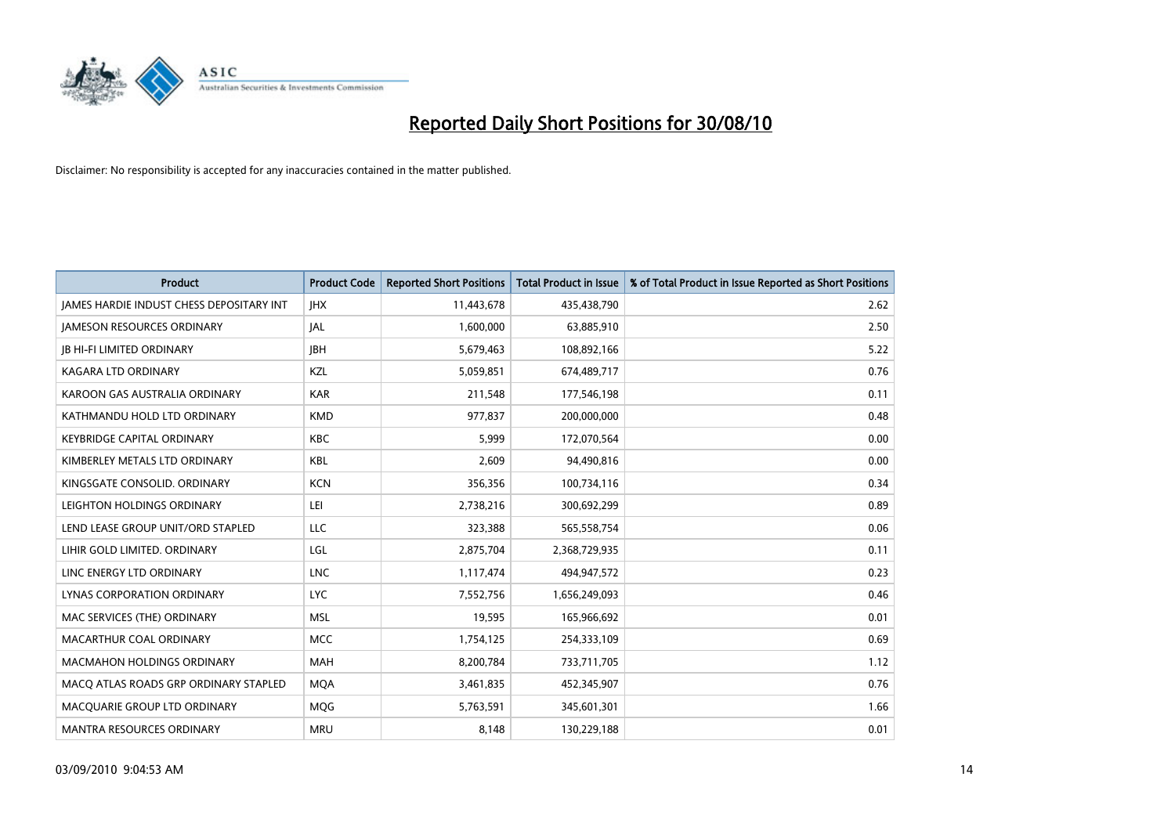

| <b>Product</b>                                  | <b>Product Code</b> | <b>Reported Short Positions</b> | <b>Total Product in Issue</b> | % of Total Product in Issue Reported as Short Positions |
|-------------------------------------------------|---------------------|---------------------------------|-------------------------------|---------------------------------------------------------|
| <b>JAMES HARDIE INDUST CHESS DEPOSITARY INT</b> | <b>JHX</b>          | 11,443,678                      | 435,438,790                   | 2.62                                                    |
| <b>JAMESON RESOURCES ORDINARY</b>               | <b>JAL</b>          | 1,600,000                       | 63,885,910                    | 2.50                                                    |
| <b>JB HI-FI LIMITED ORDINARY</b>                | <b>IBH</b>          | 5,679,463                       | 108,892,166                   | 5.22                                                    |
| KAGARA LTD ORDINARY                             | KZL                 | 5,059,851                       | 674,489,717                   | 0.76                                                    |
| KAROON GAS AUSTRALIA ORDINARY                   | <b>KAR</b>          | 211,548                         | 177,546,198                   | 0.11                                                    |
| KATHMANDU HOLD LTD ORDINARY                     | <b>KMD</b>          | 977,837                         | 200,000,000                   | 0.48                                                    |
| <b>KEYBRIDGE CAPITAL ORDINARY</b>               | <b>KBC</b>          | 5,999                           | 172,070,564                   | 0.00                                                    |
| KIMBERLEY METALS LTD ORDINARY                   | KBL                 | 2,609                           | 94,490,816                    | 0.00                                                    |
| KINGSGATE CONSOLID. ORDINARY                    | <b>KCN</b>          | 356,356                         | 100,734,116                   | 0.34                                                    |
| LEIGHTON HOLDINGS ORDINARY                      | LEI                 | 2,738,216                       | 300,692,299                   | 0.89                                                    |
| LEND LEASE GROUP UNIT/ORD STAPLED               | LLC                 | 323,388                         | 565,558,754                   | 0.06                                                    |
| LIHIR GOLD LIMITED. ORDINARY                    | LGL                 | 2,875,704                       | 2,368,729,935                 | 0.11                                                    |
| LINC ENERGY LTD ORDINARY                        | <b>LNC</b>          | 1,117,474                       | 494,947,572                   | 0.23                                                    |
| LYNAS CORPORATION ORDINARY                      | <b>LYC</b>          | 7,552,756                       | 1,656,249,093                 | 0.46                                                    |
| MAC SERVICES (THE) ORDINARY                     | <b>MSL</b>          | 19,595                          | 165,966,692                   | 0.01                                                    |
| MACARTHUR COAL ORDINARY                         | <b>MCC</b>          | 1,754,125                       | 254,333,109                   | 0.69                                                    |
| <b>MACMAHON HOLDINGS ORDINARY</b>               | <b>MAH</b>          | 8,200,784                       | 733,711,705                   | 1.12                                                    |
| MACQ ATLAS ROADS GRP ORDINARY STAPLED           | <b>MQA</b>          | 3,461,835                       | 452,345,907                   | 0.76                                                    |
| MACQUARIE GROUP LTD ORDINARY                    | <b>MOG</b>          | 5,763,591                       | 345,601,301                   | 1.66                                                    |
| MANTRA RESOURCES ORDINARY                       | <b>MRU</b>          | 8,148                           | 130,229,188                   | 0.01                                                    |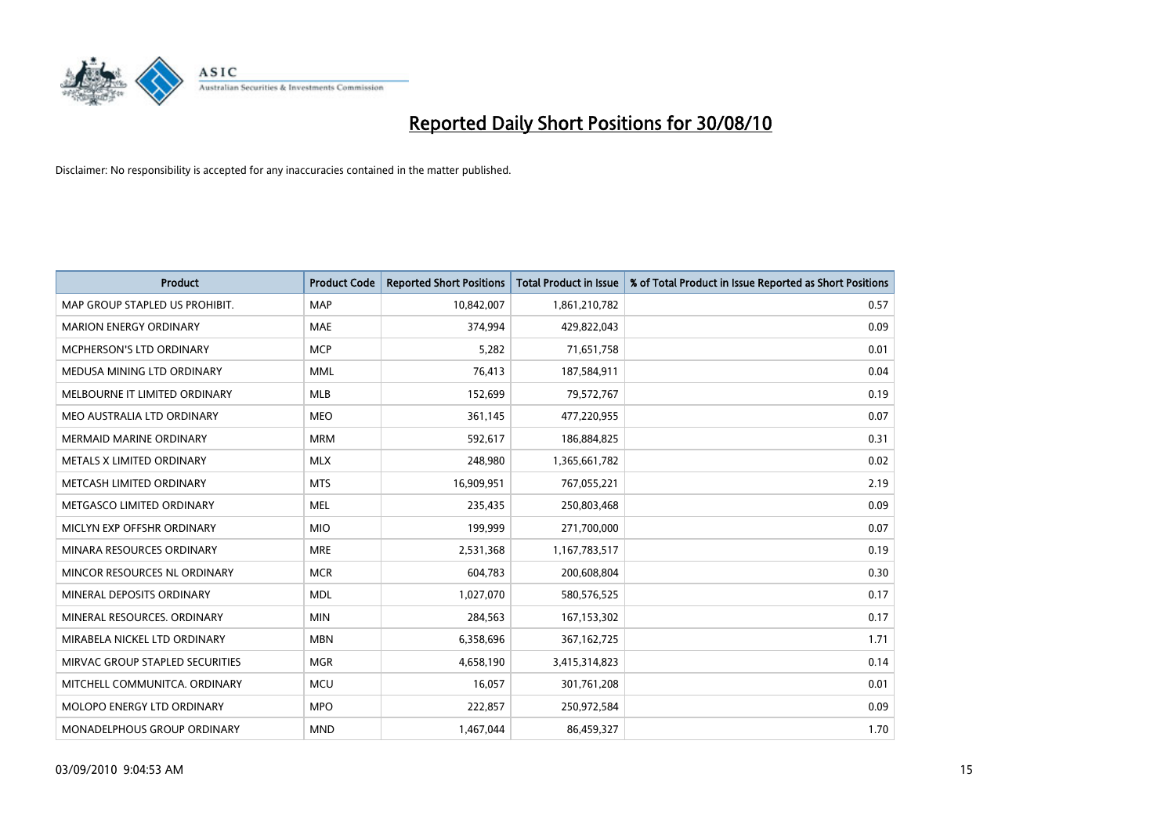

| <b>Product</b>                  | <b>Product Code</b> | <b>Reported Short Positions</b> | <b>Total Product in Issue</b> | % of Total Product in Issue Reported as Short Positions |
|---------------------------------|---------------------|---------------------------------|-------------------------------|---------------------------------------------------------|
| MAP GROUP STAPLED US PROHIBIT.  | <b>MAP</b>          | 10,842,007                      | 1,861,210,782                 | 0.57                                                    |
| <b>MARION ENERGY ORDINARY</b>   | <b>MAE</b>          | 374,994                         | 429,822,043                   | 0.09                                                    |
| <b>MCPHERSON'S LTD ORDINARY</b> | <b>MCP</b>          | 5,282                           | 71,651,758                    | 0.01                                                    |
| MEDUSA MINING LTD ORDINARY      | <b>MML</b>          | 76,413                          | 187,584,911                   | 0.04                                                    |
| MELBOURNE IT LIMITED ORDINARY   | MLB                 | 152,699                         | 79,572,767                    | 0.19                                                    |
| MEO AUSTRALIA LTD ORDINARY      | <b>MEO</b>          | 361,145                         | 477,220,955                   | 0.07                                                    |
| <b>MERMAID MARINE ORDINARY</b>  | <b>MRM</b>          | 592,617                         | 186,884,825                   | 0.31                                                    |
| METALS X LIMITED ORDINARY       | <b>MLX</b>          | 248,980                         | 1,365,661,782                 | 0.02                                                    |
| METCASH LIMITED ORDINARY        | <b>MTS</b>          | 16,909,951                      | 767,055,221                   | 2.19                                                    |
| METGASCO LIMITED ORDINARY       | <b>MEL</b>          | 235,435                         | 250,803,468                   | 0.09                                                    |
| MICLYN EXP OFFSHR ORDINARY      | <b>MIO</b>          | 199,999                         | 271,700,000                   | 0.07                                                    |
| MINARA RESOURCES ORDINARY       | <b>MRE</b>          | 2,531,368                       | 1,167,783,517                 | 0.19                                                    |
| MINCOR RESOURCES NL ORDINARY    | <b>MCR</b>          | 604,783                         | 200,608,804                   | 0.30                                                    |
| MINERAL DEPOSITS ORDINARY       | <b>MDL</b>          | 1,027,070                       | 580,576,525                   | 0.17                                                    |
| MINERAL RESOURCES, ORDINARY     | <b>MIN</b>          | 284,563                         | 167,153,302                   | 0.17                                                    |
| MIRABELA NICKEL LTD ORDINARY    | <b>MBN</b>          | 6,358,696                       | 367, 162, 725                 | 1.71                                                    |
| MIRVAC GROUP STAPLED SECURITIES | <b>MGR</b>          | 4,658,190                       | 3,415,314,823                 | 0.14                                                    |
| MITCHELL COMMUNITCA. ORDINARY   | <b>MCU</b>          | 16,057                          | 301,761,208                   | 0.01                                                    |
| MOLOPO ENERGY LTD ORDINARY      | <b>MPO</b>          | 222,857                         | 250,972,584                   | 0.09                                                    |
| MONADELPHOUS GROUP ORDINARY     | <b>MND</b>          | 1,467,044                       | 86,459,327                    | 1.70                                                    |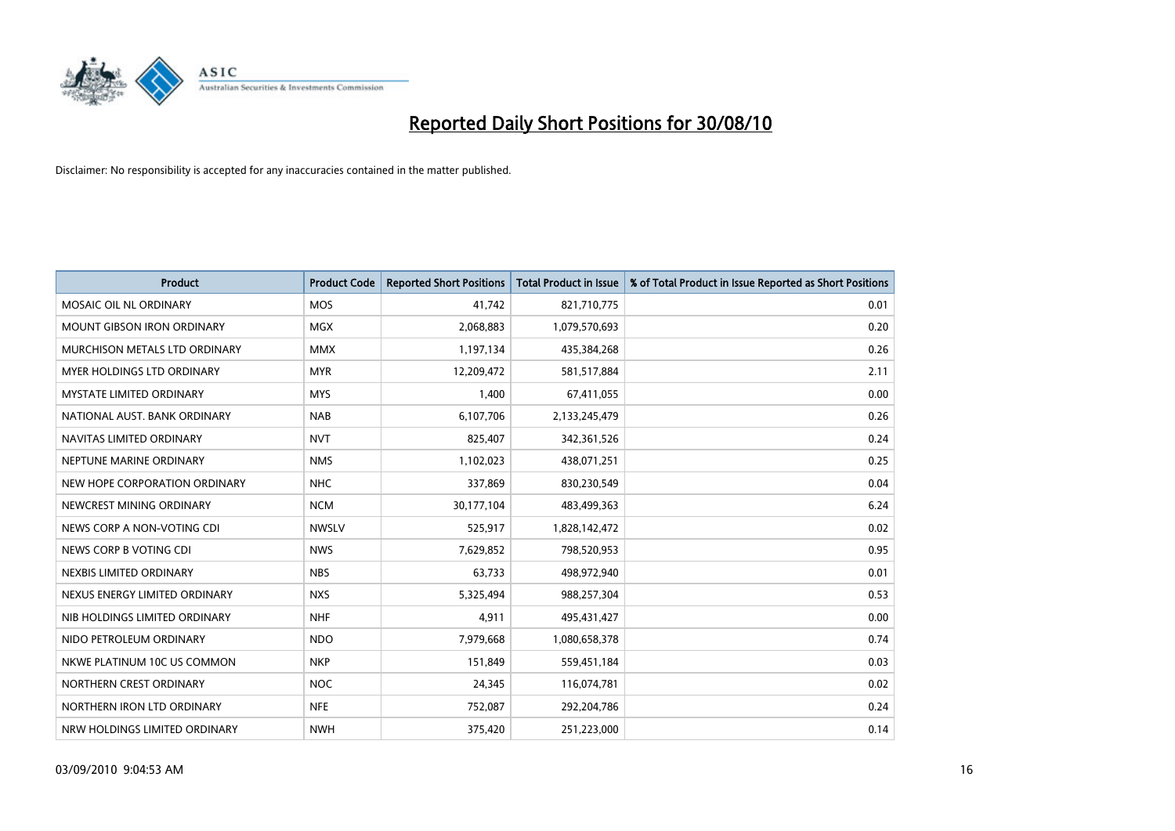

| <b>Product</b>                  | <b>Product Code</b> | <b>Reported Short Positions</b> | <b>Total Product in Issue</b> | % of Total Product in Issue Reported as Short Positions |
|---------------------------------|---------------------|---------------------------------|-------------------------------|---------------------------------------------------------|
| MOSAIC OIL NL ORDINARY          | <b>MOS</b>          | 41,742                          | 821,710,775                   | 0.01                                                    |
| MOUNT GIBSON IRON ORDINARY      | <b>MGX</b>          | 2,068,883                       | 1,079,570,693                 | 0.20                                                    |
| MURCHISON METALS LTD ORDINARY   | <b>MMX</b>          | 1,197,134                       | 435,384,268                   | 0.26                                                    |
| MYER HOLDINGS LTD ORDINARY      | <b>MYR</b>          | 12,209,472                      | 581,517,884                   | 2.11                                                    |
| <b>MYSTATE LIMITED ORDINARY</b> | <b>MYS</b>          | 1,400                           | 67,411,055                    | 0.00                                                    |
| NATIONAL AUST. BANK ORDINARY    | <b>NAB</b>          | 6,107,706                       | 2,133,245,479                 | 0.26                                                    |
| NAVITAS LIMITED ORDINARY        | <b>NVT</b>          | 825,407                         | 342,361,526                   | 0.24                                                    |
| NEPTUNE MARINE ORDINARY         | <b>NMS</b>          | 1,102,023                       | 438,071,251                   | 0.25                                                    |
| NEW HOPE CORPORATION ORDINARY   | <b>NHC</b>          | 337,869                         | 830,230,549                   | 0.04                                                    |
| NEWCREST MINING ORDINARY        | <b>NCM</b>          | 30,177,104                      | 483,499,363                   | 6.24                                                    |
| NEWS CORP A NON-VOTING CDI      | <b>NWSLV</b>        | 525,917                         | 1,828,142,472                 | 0.02                                                    |
| NEWS CORP B VOTING CDI          | <b>NWS</b>          | 7,629,852                       | 798,520,953                   | 0.95                                                    |
| NEXBIS LIMITED ORDINARY         | <b>NBS</b>          | 63,733                          | 498,972,940                   | 0.01                                                    |
| NEXUS ENERGY LIMITED ORDINARY   | <b>NXS</b>          | 5,325,494                       | 988,257,304                   | 0.53                                                    |
| NIB HOLDINGS LIMITED ORDINARY   | <b>NHF</b>          | 4,911                           | 495,431,427                   | 0.00                                                    |
| NIDO PETROLEUM ORDINARY         | <b>NDO</b>          | 7,979,668                       | 1,080,658,378                 | 0.74                                                    |
| NKWE PLATINUM 10C US COMMON     | <b>NKP</b>          | 151,849                         | 559,451,184                   | 0.03                                                    |
| NORTHERN CREST ORDINARY         | <b>NOC</b>          | 24,345                          | 116,074,781                   | 0.02                                                    |
| NORTHERN IRON LTD ORDINARY      | <b>NFE</b>          | 752,087                         | 292,204,786                   | 0.24                                                    |
| NRW HOLDINGS LIMITED ORDINARY   | <b>NWH</b>          | 375,420                         | 251,223,000                   | 0.14                                                    |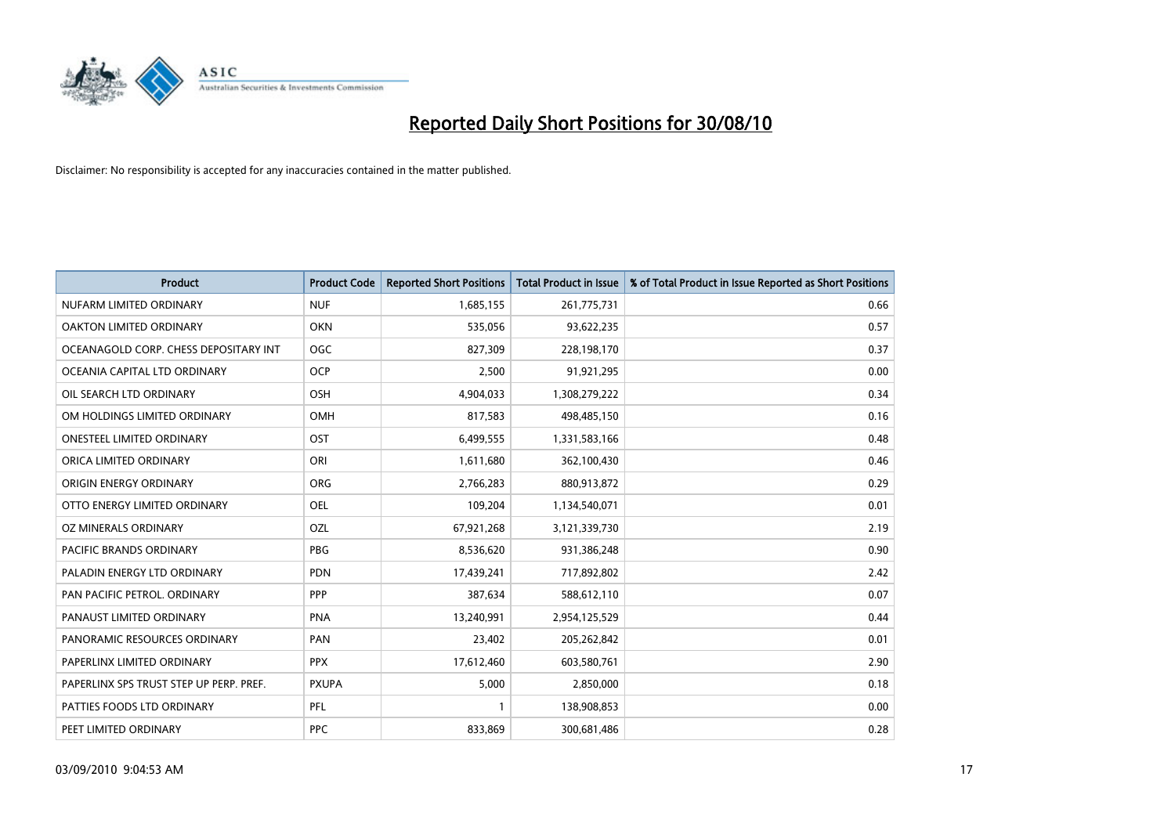

| <b>Product</b>                          | <b>Product Code</b> | <b>Reported Short Positions</b> | Total Product in Issue | % of Total Product in Issue Reported as Short Positions |
|-----------------------------------------|---------------------|---------------------------------|------------------------|---------------------------------------------------------|
| NUFARM LIMITED ORDINARY                 | <b>NUF</b>          | 1,685,155                       | 261,775,731            | 0.66                                                    |
| OAKTON LIMITED ORDINARY                 | <b>OKN</b>          | 535,056                         | 93,622,235             | 0.57                                                    |
| OCEANAGOLD CORP. CHESS DEPOSITARY INT   | <b>OGC</b>          | 827,309                         | 228,198,170            | 0.37                                                    |
| OCEANIA CAPITAL LTD ORDINARY            | <b>OCP</b>          | 2,500                           | 91,921,295             | 0.00                                                    |
| OIL SEARCH LTD ORDINARY                 | OSH                 | 4,904,033                       | 1,308,279,222          | 0.34                                                    |
| OM HOLDINGS LIMITED ORDINARY            | OMH                 | 817,583                         | 498,485,150            | 0.16                                                    |
| ONESTEEL LIMITED ORDINARY               | OST                 | 6,499,555                       | 1,331,583,166          | 0.48                                                    |
| ORICA LIMITED ORDINARY                  | ORI                 | 1,611,680                       | 362,100,430            | 0.46                                                    |
| ORIGIN ENERGY ORDINARY                  | <b>ORG</b>          | 2,766,283                       | 880,913,872            | 0.29                                                    |
| OTTO ENERGY LIMITED ORDINARY            | OEL                 | 109,204                         | 1,134,540,071          | 0.01                                                    |
| OZ MINERALS ORDINARY                    | OZL                 | 67,921,268                      | 3,121,339,730          | 2.19                                                    |
| PACIFIC BRANDS ORDINARY                 | <b>PBG</b>          | 8,536,620                       | 931,386,248            | 0.90                                                    |
| PALADIN ENERGY LTD ORDINARY             | <b>PDN</b>          | 17,439,241                      | 717,892,802            | 2.42                                                    |
| PAN PACIFIC PETROL. ORDINARY            | PPP                 | 387,634                         | 588,612,110            | 0.07                                                    |
| PANAUST LIMITED ORDINARY                | PNA                 | 13,240,991                      | 2,954,125,529          | 0.44                                                    |
| PANORAMIC RESOURCES ORDINARY            | PAN                 | 23,402                          | 205,262,842            | 0.01                                                    |
| PAPERLINX LIMITED ORDINARY              | <b>PPX</b>          | 17,612,460                      | 603,580,761            | 2.90                                                    |
| PAPERLINX SPS TRUST STEP UP PERP. PREF. | <b>PXUPA</b>        | 5,000                           | 2,850,000              | 0.18                                                    |
| PATTIES FOODS LTD ORDINARY              | PFL                 |                                 | 138,908,853            | 0.00                                                    |
| PEET LIMITED ORDINARY                   | <b>PPC</b>          | 833,869                         | 300,681,486            | 0.28                                                    |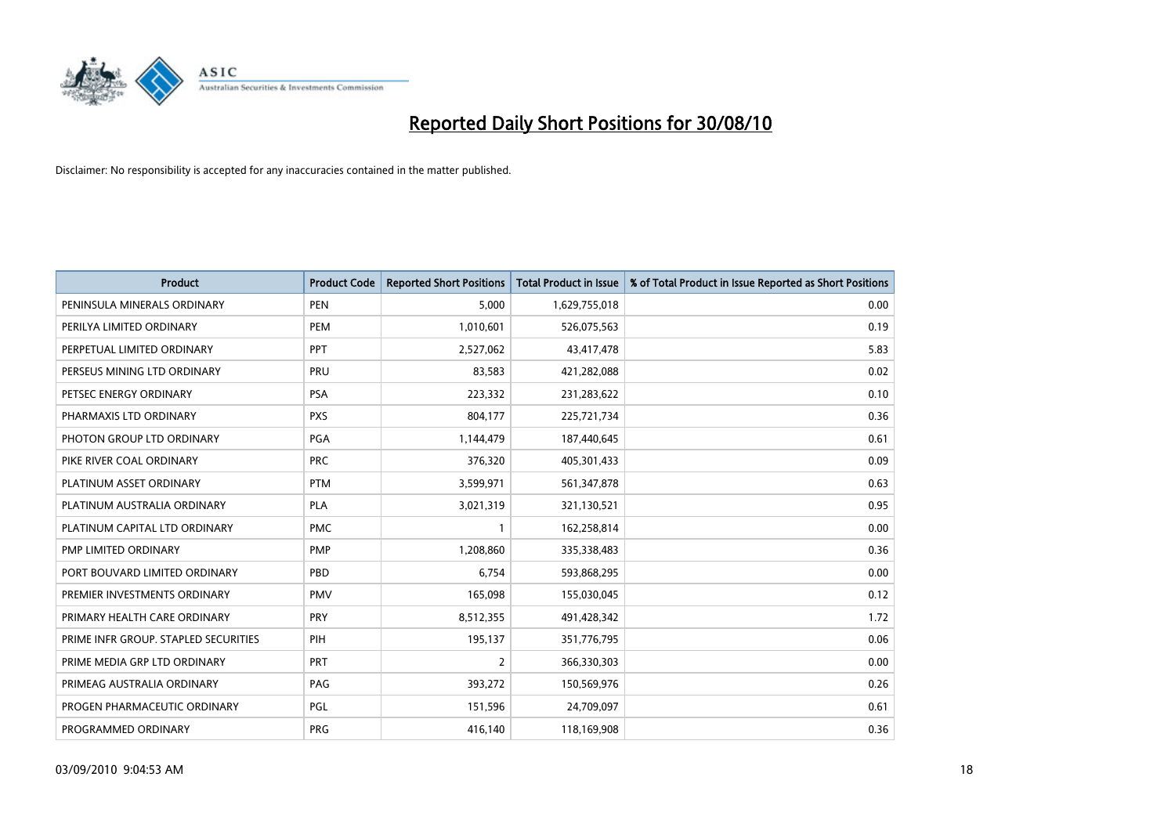

| <b>Product</b>                       | <b>Product Code</b> | <b>Reported Short Positions</b> | <b>Total Product in Issue</b> | % of Total Product in Issue Reported as Short Positions |
|--------------------------------------|---------------------|---------------------------------|-------------------------------|---------------------------------------------------------|
| PENINSULA MINERALS ORDINARY          | <b>PEN</b>          | 5.000                           | 1,629,755,018                 | 0.00                                                    |
| PERILYA LIMITED ORDINARY             | <b>PEM</b>          | 1,010,601                       | 526,075,563                   | 0.19                                                    |
| PERPETUAL LIMITED ORDINARY           | PPT                 | 2,527,062                       | 43,417,478                    | 5.83                                                    |
| PERSEUS MINING LTD ORDINARY          | PRU                 | 83,583                          | 421,282,088                   | 0.02                                                    |
| PETSEC ENERGY ORDINARY               | <b>PSA</b>          | 223,332                         | 231,283,622                   | 0.10                                                    |
| PHARMAXIS LTD ORDINARY               | <b>PXS</b>          | 804,177                         | 225,721,734                   | 0.36                                                    |
| PHOTON GROUP LTD ORDINARY            | <b>PGA</b>          | 1,144,479                       | 187,440,645                   | 0.61                                                    |
| PIKE RIVER COAL ORDINARY             | <b>PRC</b>          | 376,320                         | 405,301,433                   | 0.09                                                    |
| PLATINUM ASSET ORDINARY              | <b>PTM</b>          | 3,599,971                       | 561,347,878                   | 0.63                                                    |
| PLATINUM AUSTRALIA ORDINARY          | <b>PLA</b>          | 3,021,319                       | 321,130,521                   | 0.95                                                    |
| PLATINUM CAPITAL LTD ORDINARY        | <b>PMC</b>          |                                 | 162,258,814                   | 0.00                                                    |
| PMP LIMITED ORDINARY                 | <b>PMP</b>          | 1,208,860                       | 335,338,483                   | 0.36                                                    |
| PORT BOUVARD LIMITED ORDINARY        | PBD                 | 6.754                           | 593,868,295                   | 0.00                                                    |
| PREMIER INVESTMENTS ORDINARY         | <b>PMV</b>          | 165,098                         | 155,030,045                   | 0.12                                                    |
| PRIMARY HEALTH CARE ORDINARY         | <b>PRY</b>          | 8,512,355                       | 491,428,342                   | 1.72                                                    |
| PRIME INFR GROUP. STAPLED SECURITIES | PIH                 | 195,137                         | 351,776,795                   | 0.06                                                    |
| PRIME MEDIA GRP LTD ORDINARY         | <b>PRT</b>          | $\overline{2}$                  | 366,330,303                   | 0.00                                                    |
| PRIMEAG AUSTRALIA ORDINARY           | PAG                 | 393,272                         | 150,569,976                   | 0.26                                                    |
| PROGEN PHARMACEUTIC ORDINARY         | <b>PGL</b>          | 151,596                         | 24,709,097                    | 0.61                                                    |
| PROGRAMMED ORDINARY                  | PRG                 | 416,140                         | 118,169,908                   | 0.36                                                    |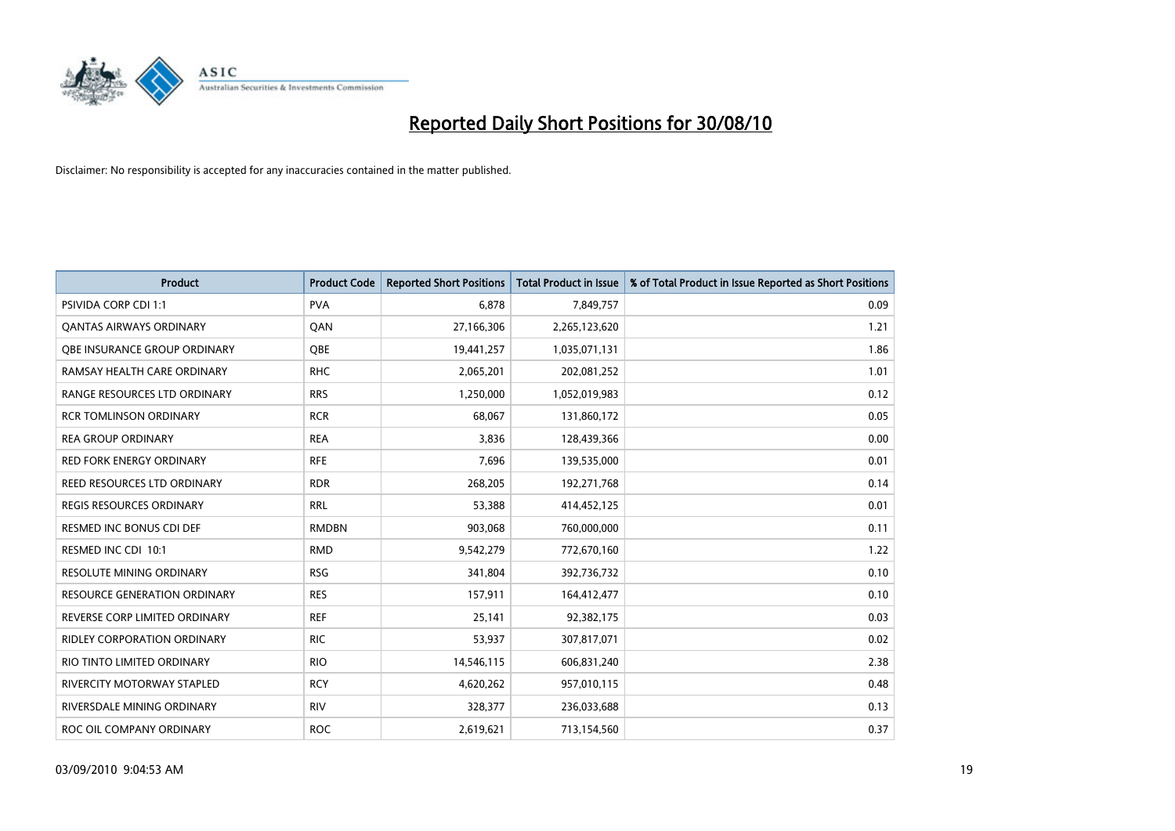

| <b>Product</b>                      | <b>Product Code</b> | <b>Reported Short Positions</b> | Total Product in Issue | % of Total Product in Issue Reported as Short Positions |
|-------------------------------------|---------------------|---------------------------------|------------------------|---------------------------------------------------------|
| <b>PSIVIDA CORP CDI 1:1</b>         | <b>PVA</b>          | 6,878                           | 7,849,757              | 0.09                                                    |
| <b>QANTAS AIRWAYS ORDINARY</b>      | QAN                 | 27,166,306                      | 2,265,123,620          | 1.21                                                    |
| OBE INSURANCE GROUP ORDINARY        | OBE                 | 19,441,257                      | 1,035,071,131          | 1.86                                                    |
| RAMSAY HEALTH CARE ORDINARY         | <b>RHC</b>          | 2,065,201                       | 202,081,252            | 1.01                                                    |
| RANGE RESOURCES LTD ORDINARY        | <b>RRS</b>          | 1,250,000                       | 1,052,019,983          | 0.12                                                    |
| <b>RCR TOMLINSON ORDINARY</b>       | <b>RCR</b>          | 68,067                          | 131,860,172            | 0.05                                                    |
| <b>REA GROUP ORDINARY</b>           | <b>REA</b>          | 3,836                           | 128,439,366            | 0.00                                                    |
| <b>RED FORK ENERGY ORDINARY</b>     | <b>RFE</b>          | 7,696                           | 139,535,000            | 0.01                                                    |
| REED RESOURCES LTD ORDINARY         | <b>RDR</b>          | 268,205                         | 192,271,768            | 0.14                                                    |
| <b>REGIS RESOURCES ORDINARY</b>     | <b>RRL</b>          | 53,388                          | 414,452,125            | 0.01                                                    |
| RESMED INC BONUS CDI DEF            | <b>RMDBN</b>        | 903,068                         | 760,000,000            | 0.11                                                    |
| RESMED INC CDI 10:1                 | <b>RMD</b>          | 9,542,279                       | 772,670,160            | 1.22                                                    |
| RESOLUTE MINING ORDINARY            | <b>RSG</b>          | 341,804                         | 392,736,732            | 0.10                                                    |
| <b>RESOURCE GENERATION ORDINARY</b> | <b>RES</b>          | 157,911                         | 164,412,477            | 0.10                                                    |
| REVERSE CORP LIMITED ORDINARY       | <b>REF</b>          | 25,141                          | 92,382,175             | 0.03                                                    |
| RIDLEY CORPORATION ORDINARY         | <b>RIC</b>          | 53,937                          | 307,817,071            | 0.02                                                    |
| RIO TINTO LIMITED ORDINARY          | <b>RIO</b>          | 14,546,115                      | 606,831,240            | 2.38                                                    |
| RIVERCITY MOTORWAY STAPLED          | <b>RCY</b>          | 4,620,262                       | 957,010,115            | 0.48                                                    |
| RIVERSDALE MINING ORDINARY          | <b>RIV</b>          | 328,377                         | 236,033,688            | 0.13                                                    |
| ROC OIL COMPANY ORDINARY            | <b>ROC</b>          | 2,619,621                       | 713,154,560            | 0.37                                                    |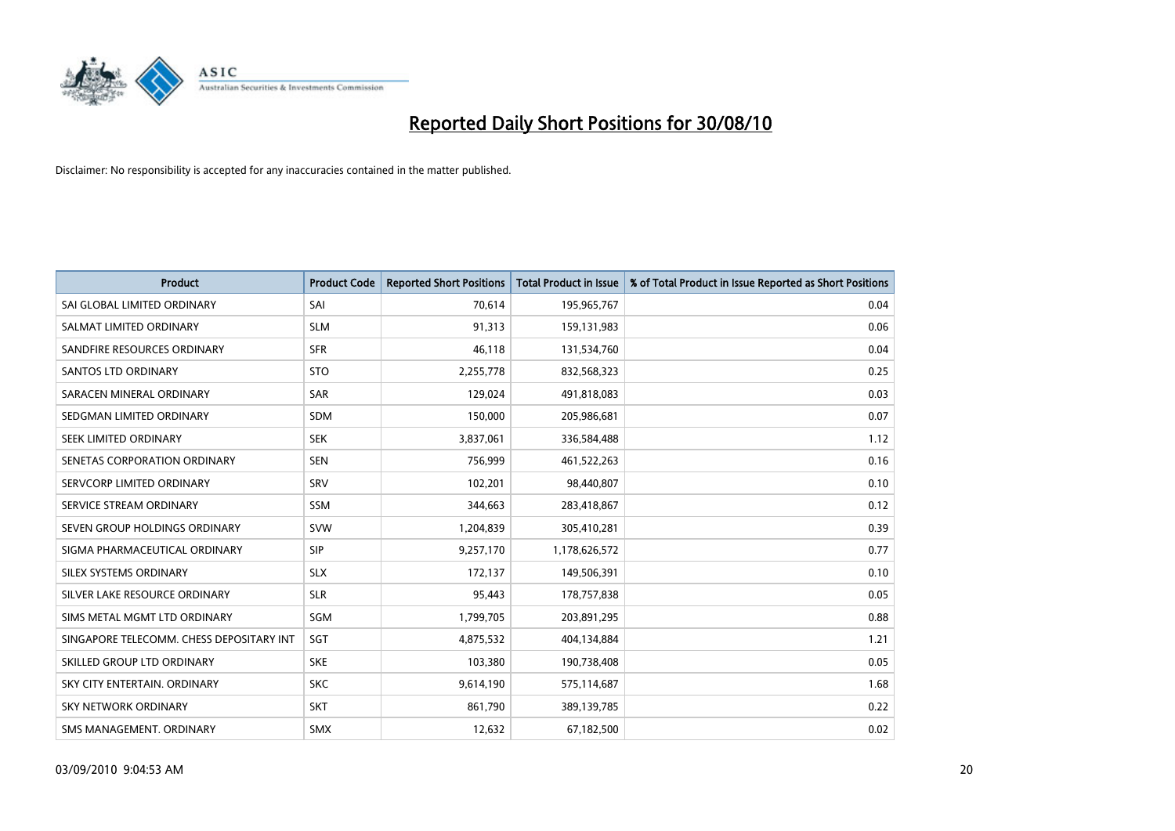

| <b>Product</b>                           | <b>Product Code</b> | <b>Reported Short Positions</b> | <b>Total Product in Issue</b> | % of Total Product in Issue Reported as Short Positions |
|------------------------------------------|---------------------|---------------------------------|-------------------------------|---------------------------------------------------------|
| SAI GLOBAL LIMITED ORDINARY              | SAI                 | 70,614                          | 195,965,767                   | 0.04                                                    |
| SALMAT LIMITED ORDINARY                  | <b>SLM</b>          | 91,313                          | 159,131,983                   | 0.06                                                    |
| SANDFIRE RESOURCES ORDINARY              | <b>SFR</b>          | 46,118                          | 131,534,760                   | 0.04                                                    |
| <b>SANTOS LTD ORDINARY</b>               | <b>STO</b>          | 2,255,778                       | 832,568,323                   | 0.25                                                    |
| SARACEN MINERAL ORDINARY                 | <b>SAR</b>          | 129,024                         | 491,818,083                   | 0.03                                                    |
| SEDGMAN LIMITED ORDINARY                 | <b>SDM</b>          | 150,000                         | 205,986,681                   | 0.07                                                    |
| SEEK LIMITED ORDINARY                    | <b>SEK</b>          | 3,837,061                       | 336,584,488                   | 1.12                                                    |
| SENETAS CORPORATION ORDINARY             | <b>SEN</b>          | 756,999                         | 461,522,263                   | 0.16                                                    |
| SERVCORP LIMITED ORDINARY                | SRV                 | 102,201                         | 98,440,807                    | 0.10                                                    |
| SERVICE STREAM ORDINARY                  | <b>SSM</b>          | 344,663                         | 283,418,867                   | 0.12                                                    |
| SEVEN GROUP HOLDINGS ORDINARY            | <b>SVW</b>          | 1,204,839                       | 305,410,281                   | 0.39                                                    |
| SIGMA PHARMACEUTICAL ORDINARY            | SIP                 | 9,257,170                       | 1,178,626,572                 | 0.77                                                    |
| SILEX SYSTEMS ORDINARY                   | <b>SLX</b>          | 172,137                         | 149,506,391                   | 0.10                                                    |
| SILVER LAKE RESOURCE ORDINARY            | <b>SLR</b>          | 95,443                          | 178,757,838                   | 0.05                                                    |
| SIMS METAL MGMT LTD ORDINARY             | SGM                 | 1,799,705                       | 203,891,295                   | 0.88                                                    |
| SINGAPORE TELECOMM. CHESS DEPOSITARY INT | SGT                 | 4,875,532                       | 404,134,884                   | 1.21                                                    |
| SKILLED GROUP LTD ORDINARY               | <b>SKE</b>          | 103,380                         | 190,738,408                   | 0.05                                                    |
| SKY CITY ENTERTAIN. ORDINARY             | <b>SKC</b>          | 9,614,190                       | 575,114,687                   | 1.68                                                    |
| SKY NETWORK ORDINARY                     | <b>SKT</b>          | 861,790                         | 389,139,785                   | 0.22                                                    |
| SMS MANAGEMENT. ORDINARY                 | SMX                 | 12,632                          | 67,182,500                    | 0.02                                                    |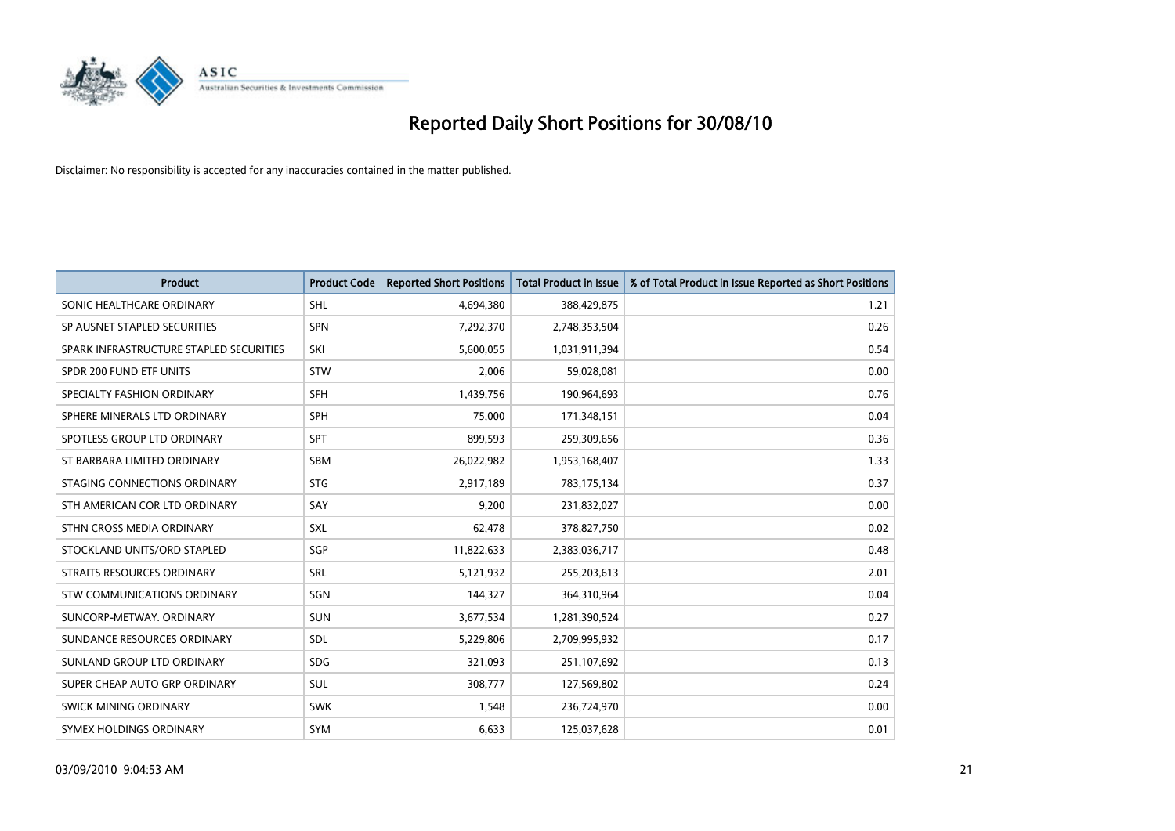

| <b>Product</b>                          | <b>Product Code</b> | <b>Reported Short Positions</b> | <b>Total Product in Issue</b> | % of Total Product in Issue Reported as Short Positions |
|-----------------------------------------|---------------------|---------------------------------|-------------------------------|---------------------------------------------------------|
| SONIC HEALTHCARE ORDINARY               | <b>SHL</b>          | 4,694,380                       | 388,429,875                   | 1.21                                                    |
| SP AUSNET STAPLED SECURITIES            | <b>SPN</b>          | 7,292,370                       | 2,748,353,504                 | 0.26                                                    |
| SPARK INFRASTRUCTURE STAPLED SECURITIES | SKI                 | 5,600,055                       | 1,031,911,394                 | 0.54                                                    |
| SPDR 200 FUND ETF UNITS                 | STW                 | 2,006                           | 59,028,081                    | 0.00                                                    |
| SPECIALTY FASHION ORDINARY              | <b>SFH</b>          | 1,439,756                       | 190,964,693                   | 0.76                                                    |
| SPHERE MINERALS LTD ORDINARY            | <b>SPH</b>          | 75,000                          | 171,348,151                   | 0.04                                                    |
| SPOTLESS GROUP LTD ORDINARY             | <b>SPT</b>          | 899,593                         | 259,309,656                   | 0.36                                                    |
| ST BARBARA LIMITED ORDINARY             | <b>SBM</b>          | 26,022,982                      | 1,953,168,407                 | 1.33                                                    |
| STAGING CONNECTIONS ORDINARY            | <b>STG</b>          | 2,917,189                       | 783,175,134                   | 0.37                                                    |
| STH AMERICAN COR LTD ORDINARY           | SAY                 | 9,200                           | 231,832,027                   | 0.00                                                    |
| STHN CROSS MEDIA ORDINARY               | <b>SXL</b>          | 62,478                          | 378,827,750                   | 0.02                                                    |
| STOCKLAND UNITS/ORD STAPLED             | SGP                 | 11,822,633                      | 2,383,036,717                 | 0.48                                                    |
| STRAITS RESOURCES ORDINARY              | <b>SRL</b>          | 5,121,932                       | 255,203,613                   | 2.01                                                    |
| <b>STW COMMUNICATIONS ORDINARY</b>      | SGN                 | 144,327                         | 364,310,964                   | 0.04                                                    |
| SUNCORP-METWAY, ORDINARY                | <b>SUN</b>          | 3,677,534                       | 1,281,390,524                 | 0.27                                                    |
| SUNDANCE RESOURCES ORDINARY             | SDL                 | 5,229,806                       | 2,709,995,932                 | 0.17                                                    |
| SUNLAND GROUP LTD ORDINARY              | <b>SDG</b>          | 321,093                         | 251,107,692                   | 0.13                                                    |
| SUPER CHEAP AUTO GRP ORDINARY           | <b>SUL</b>          | 308,777                         | 127,569,802                   | 0.24                                                    |
| SWICK MINING ORDINARY                   | <b>SWK</b>          | 1,548                           | 236,724,970                   | 0.00                                                    |
| SYMEX HOLDINGS ORDINARY                 | <b>SYM</b>          | 6,633                           | 125,037,628                   | 0.01                                                    |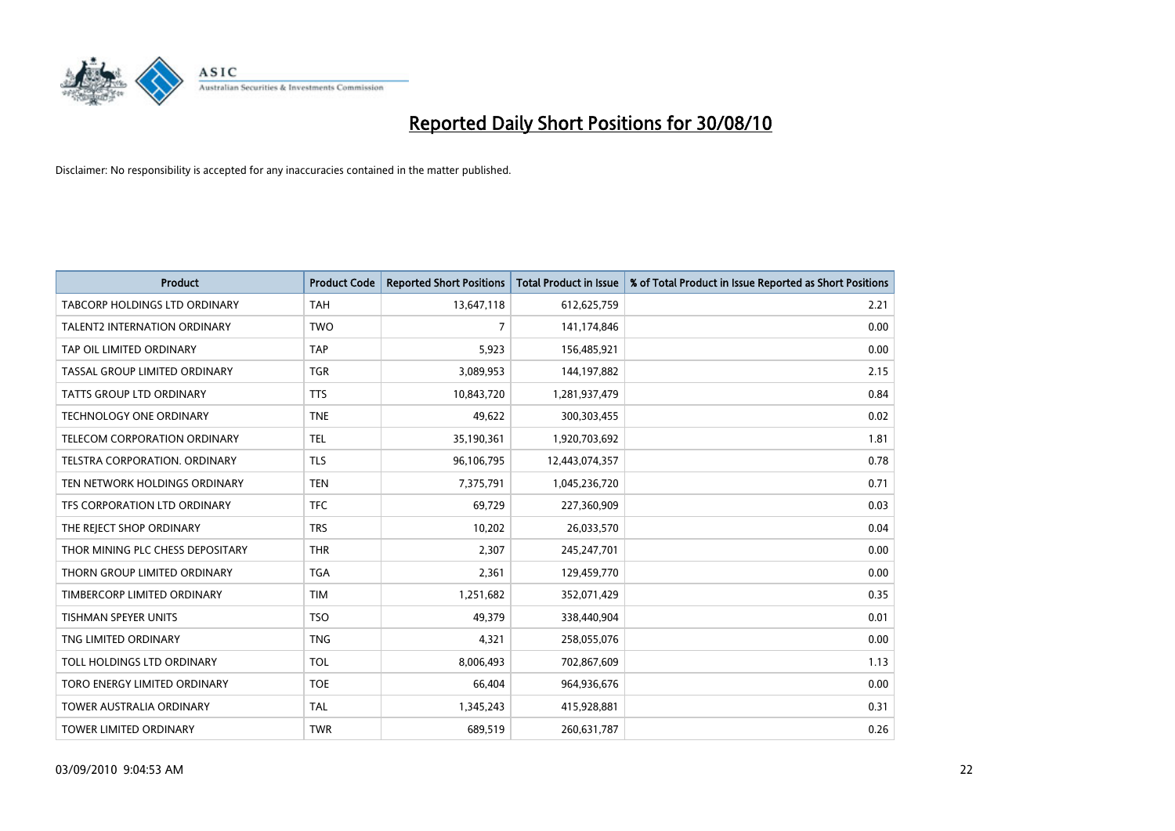

| <b>Product</b>                   | <b>Product Code</b> | <b>Reported Short Positions</b> | Total Product in Issue | % of Total Product in Issue Reported as Short Positions |
|----------------------------------|---------------------|---------------------------------|------------------------|---------------------------------------------------------|
| TABCORP HOLDINGS LTD ORDINARY    | <b>TAH</b>          | 13,647,118                      | 612,625,759            | 2.21                                                    |
| TALENT2 INTERNATION ORDINARY     | <b>TWO</b>          | 7                               | 141,174,846            | 0.00                                                    |
| TAP OIL LIMITED ORDINARY         | <b>TAP</b>          | 5,923                           | 156,485,921            | 0.00                                                    |
| TASSAL GROUP LIMITED ORDINARY    | <b>TGR</b>          | 3,089,953                       | 144,197,882            | 2.15                                                    |
| <b>TATTS GROUP LTD ORDINARY</b>  | <b>TTS</b>          | 10,843,720                      | 1,281,937,479          | 0.84                                                    |
| <b>TECHNOLOGY ONE ORDINARY</b>   | <b>TNE</b>          | 49,622                          | 300,303,455            | 0.02                                                    |
| TELECOM CORPORATION ORDINARY     | <b>TEL</b>          | 35,190,361                      | 1,920,703,692          | 1.81                                                    |
| TELSTRA CORPORATION. ORDINARY    | <b>TLS</b>          | 96,106,795                      | 12,443,074,357         | 0.78                                                    |
| TEN NETWORK HOLDINGS ORDINARY    | <b>TEN</b>          | 7,375,791                       | 1,045,236,720          | 0.71                                                    |
| TFS CORPORATION LTD ORDINARY     | <b>TFC</b>          | 69,729                          | 227,360,909            | 0.03                                                    |
| THE REJECT SHOP ORDINARY         | <b>TRS</b>          | 10,202                          | 26,033,570             | 0.04                                                    |
| THOR MINING PLC CHESS DEPOSITARY | <b>THR</b>          | 2,307                           | 245,247,701            | 0.00                                                    |
| THORN GROUP LIMITED ORDINARY     | <b>TGA</b>          | 2,361                           | 129,459,770            | 0.00                                                    |
| TIMBERCORP LIMITED ORDINARY      | <b>TIM</b>          | 1,251,682                       | 352,071,429            | 0.35                                                    |
| <b>TISHMAN SPEYER UNITS</b>      | <b>TSO</b>          | 49.379                          | 338,440,904            | 0.01                                                    |
| TNG LIMITED ORDINARY             | <b>TNG</b>          | 4,321                           | 258,055,076            | 0.00                                                    |
| TOLL HOLDINGS LTD ORDINARY       | <b>TOL</b>          | 8,006,493                       | 702,867,609            | 1.13                                                    |
| TORO ENERGY LIMITED ORDINARY     | <b>TOE</b>          | 66,404                          | 964,936,676            | 0.00                                                    |
| <b>TOWER AUSTRALIA ORDINARY</b>  | <b>TAL</b>          | 1,345,243                       | 415,928,881            | 0.31                                                    |
| TOWER LIMITED ORDINARY           | <b>TWR</b>          | 689,519                         | 260,631,787            | 0.26                                                    |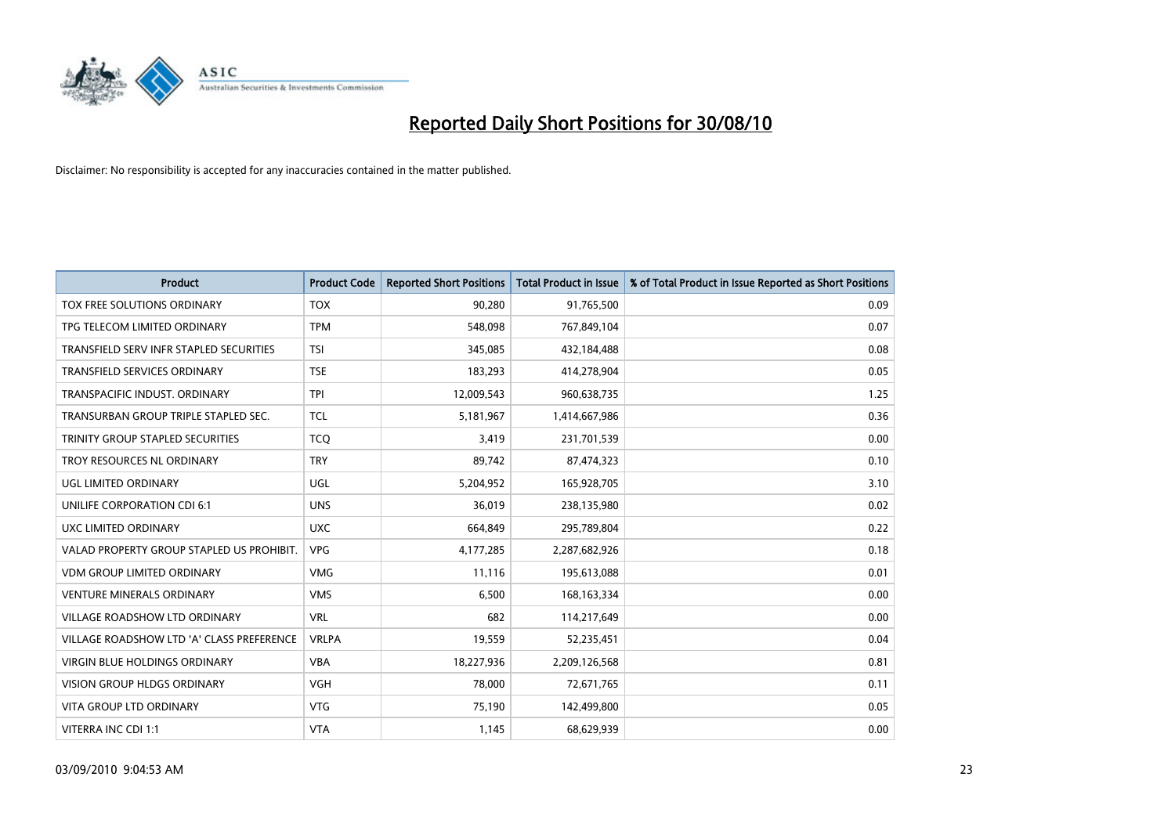

| <b>Product</b>                            | <b>Product Code</b> | <b>Reported Short Positions</b> | Total Product in Issue | % of Total Product in Issue Reported as Short Positions |
|-------------------------------------------|---------------------|---------------------------------|------------------------|---------------------------------------------------------|
| TOX FREE SOLUTIONS ORDINARY               | <b>TOX</b>          | 90,280                          | 91,765,500             | 0.09                                                    |
| TPG TELECOM LIMITED ORDINARY              | <b>TPM</b>          | 548,098                         | 767,849,104            | 0.07                                                    |
| TRANSFIELD SERV INFR STAPLED SECURITIES   | <b>TSI</b>          | 345,085                         | 432,184,488            | 0.08                                                    |
| <b>TRANSFIELD SERVICES ORDINARY</b>       | <b>TSE</b>          | 183,293                         | 414,278,904            | 0.05                                                    |
| TRANSPACIFIC INDUST, ORDINARY             | <b>TPI</b>          | 12,009,543                      | 960,638,735            | 1.25                                                    |
| TRANSURBAN GROUP TRIPLE STAPLED SEC.      | <b>TCL</b>          | 5,181,967                       | 1,414,667,986          | 0.36                                                    |
| TRINITY GROUP STAPLED SECURITIES          | <b>TCO</b>          | 3,419                           | 231,701,539            | 0.00                                                    |
| TROY RESOURCES NL ORDINARY                | <b>TRY</b>          | 89,742                          | 87,474,323             | 0.10                                                    |
| UGL LIMITED ORDINARY                      | UGL                 | 5,204,952                       | 165,928,705            | 3.10                                                    |
| UNILIFE CORPORATION CDI 6:1               | <b>UNS</b>          | 36,019                          | 238,135,980            | 0.02                                                    |
| UXC LIMITED ORDINARY                      | <b>UXC</b>          | 664,849                         | 295,789,804            | 0.22                                                    |
| VALAD PROPERTY GROUP STAPLED US PROHIBIT. | <b>VPG</b>          | 4,177,285                       | 2,287,682,926          | 0.18                                                    |
| <b>VDM GROUP LIMITED ORDINARY</b>         | <b>VMG</b>          | 11,116                          | 195,613,088            | 0.01                                                    |
| <b>VENTURE MINERALS ORDINARY</b>          | <b>VMS</b>          | 6,500                           | 168, 163, 334          | 0.00                                                    |
| VILLAGE ROADSHOW LTD ORDINARY             | <b>VRL</b>          | 682                             | 114,217,649            | 0.00                                                    |
| VILLAGE ROADSHOW LTD 'A' CLASS PREFERENCE | <b>VRLPA</b>        | 19,559                          | 52,235,451             | 0.04                                                    |
| VIRGIN BLUE HOLDINGS ORDINARY             | <b>VBA</b>          | 18,227,936                      | 2,209,126,568          | 0.81                                                    |
| <b>VISION GROUP HLDGS ORDINARY</b>        | <b>VGH</b>          | 78,000                          | 72,671,765             | 0.11                                                    |
| <b>VITA GROUP LTD ORDINARY</b>            | <b>VTG</b>          | 75,190                          | 142,499,800            | 0.05                                                    |
| VITERRA INC CDI 1:1                       | <b>VTA</b>          | 1,145                           | 68,629,939             | 0.00                                                    |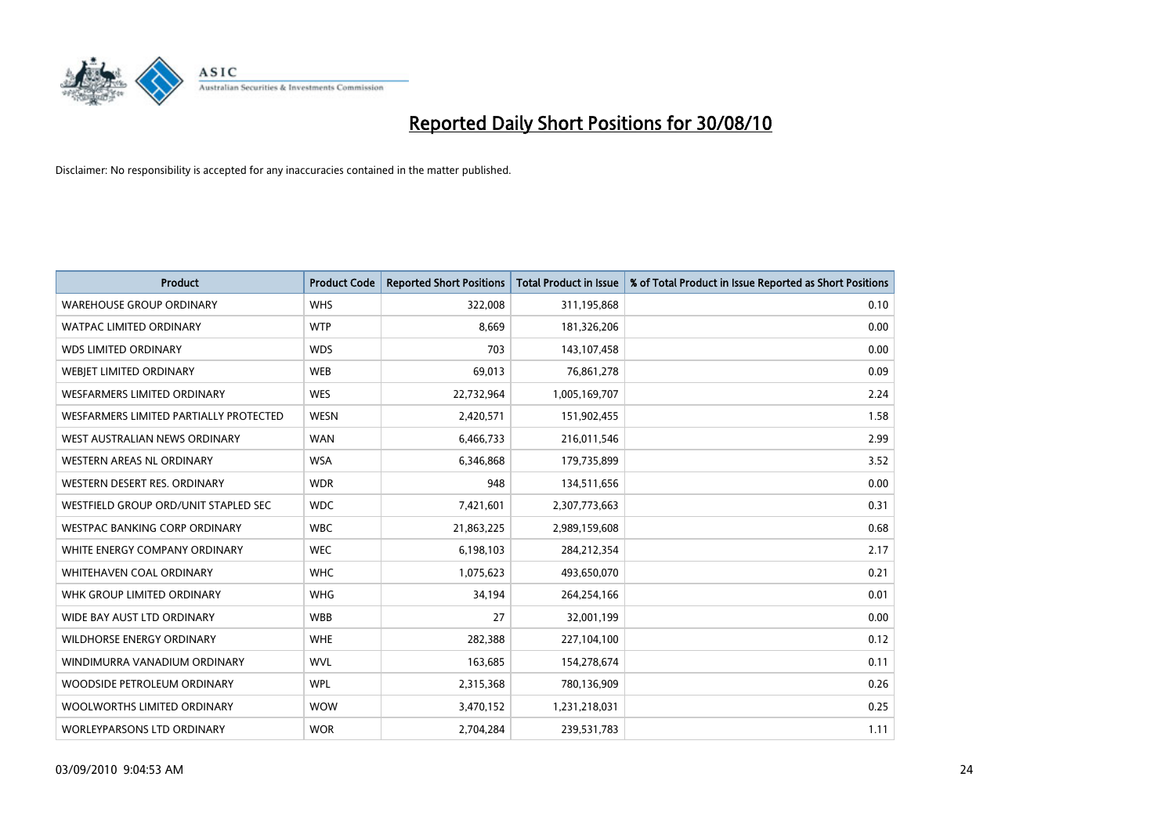

| <b>Product</b>                         | <b>Product Code</b> | <b>Reported Short Positions</b> | <b>Total Product in Issue</b> | % of Total Product in Issue Reported as Short Positions |
|----------------------------------------|---------------------|---------------------------------|-------------------------------|---------------------------------------------------------|
| <b>WAREHOUSE GROUP ORDINARY</b>        | <b>WHS</b>          | 322,008                         | 311,195,868                   | 0.10                                                    |
| <b>WATPAC LIMITED ORDINARY</b>         | <b>WTP</b>          | 8,669                           | 181,326,206                   | 0.00                                                    |
| <b>WDS LIMITED ORDINARY</b>            | <b>WDS</b>          | 703                             | 143,107,458                   | 0.00                                                    |
| WEBJET LIMITED ORDINARY                | <b>WEB</b>          | 69,013                          | 76,861,278                    | 0.09                                                    |
| <b>WESFARMERS LIMITED ORDINARY</b>     | <b>WES</b>          | 22,732,964                      | 1,005,169,707                 | 2.24                                                    |
| WESFARMERS LIMITED PARTIALLY PROTECTED | <b>WESN</b>         | 2,420,571                       | 151,902,455                   | 1.58                                                    |
| WEST AUSTRALIAN NEWS ORDINARY          | <b>WAN</b>          | 6,466,733                       | 216,011,546                   | 2.99                                                    |
| WESTERN AREAS NL ORDINARY              | <b>WSA</b>          | 6,346,868                       | 179,735,899                   | 3.52                                                    |
| WESTERN DESERT RES. ORDINARY           | <b>WDR</b>          | 948                             | 134,511,656                   | 0.00                                                    |
| WESTFIELD GROUP ORD/UNIT STAPLED SEC   | <b>WDC</b>          | 7,421,601                       | 2,307,773,663                 | 0.31                                                    |
| WESTPAC BANKING CORP ORDINARY          | <b>WBC</b>          | 21,863,225                      | 2,989,159,608                 | 0.68                                                    |
| WHITE ENERGY COMPANY ORDINARY          | <b>WEC</b>          | 6,198,103                       | 284,212,354                   | 2.17                                                    |
| WHITEHAVEN COAL ORDINARY               | <b>WHC</b>          | 1,075,623                       | 493,650,070                   | 0.21                                                    |
| WHK GROUP LIMITED ORDINARY             | <b>WHG</b>          | 34,194                          | 264,254,166                   | 0.01                                                    |
| WIDE BAY AUST LTD ORDINARY             | <b>WBB</b>          | 27                              | 32,001,199                    | 0.00                                                    |
| WILDHORSE ENERGY ORDINARY              | <b>WHE</b>          | 282,388                         | 227,104,100                   | 0.12                                                    |
| WINDIMURRA VANADIUM ORDINARY           | <b>WVL</b>          | 163,685                         | 154,278,674                   | 0.11                                                    |
| WOODSIDE PETROLEUM ORDINARY            | <b>WPL</b>          | 2,315,368                       | 780,136,909                   | 0.26                                                    |
| WOOLWORTHS LIMITED ORDINARY            | <b>WOW</b>          | 3,470,152                       | 1,231,218,031                 | 0.25                                                    |
| <b>WORLEYPARSONS LTD ORDINARY</b>      | <b>WOR</b>          | 2,704,284                       | 239,531,783                   | 1.11                                                    |